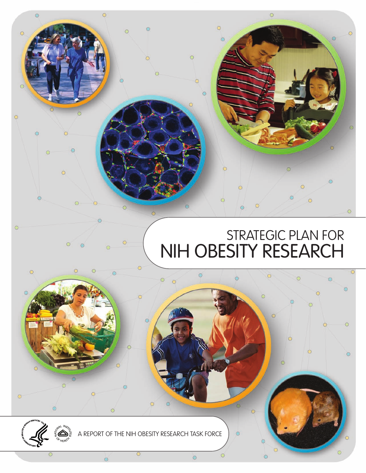

 $\ddot{\circ}$ 

 $\ddot{\circ}$ 

 $\bullet$ 

 $\circ$ 

 $\bullet$ 

 $\ddot{\circ}$ 

 $\circ$ 

 $\circ$ 

 $\circ$ 

 $\bigcirc$  $\ddot{\mathbf{O}}$   $\circ$ 

 $\overline{O}$ 

 $\circ$ 

 $\circ$ 

 $\circ$ 

 $\circ$ 

 $\circ$ 

 $\circ$ 

 $\bullet$ 

 $\circ$ 

Ö

 $\circ$ 

 $\odot$ 

 $\circ$ 

 $\bullet$ 

 $\circ$ 

 $\circ$ 

 $\ddot{\circ}$ 

 $\circ$ 



 $\circ$ 

 $\circ$ 

 $\circ$ 

 $\bigcirc$ 

 $\ddot{\bullet}$ 

 $\circ$ 

 $\bullet$ 

 $\bullet$ 

 $\circ$ 

 $\circ$ 

 $\circ$ 

 $\sigma$ 

 $\circ$ 

 $\odot$ 

 $\circ$ 

 $\circ$ 

 $\circ$ 

 $\circ$ 

 $\ddot{\circ}$ 

 $\circ$ 

 $\bullet$ 

 $\overline{a}$ 

 $\circ$ 

 $\circ$ 

 $\circ$ 

 $\circ$ 

 $\bigcirc$ 

 $\circ$ 

 $\bigcap$ 

 $\circ$ 

 $\ddot{\bullet}$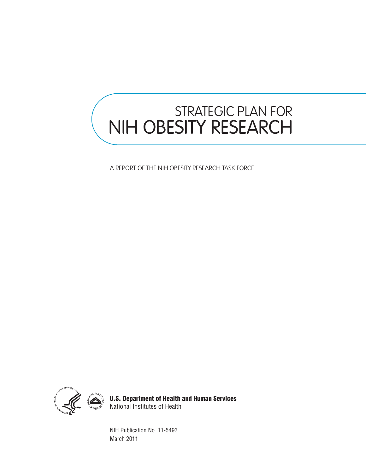# STRATEGIC PLAN FOR NIH OBESITY RESEARCH

A REPORT OF THE NIH OBESITY RESEARCH TASK FORCE



U.S. Department of Health and Human Services National Institutes of Health

NIH Publication No. 11-5493 March 2011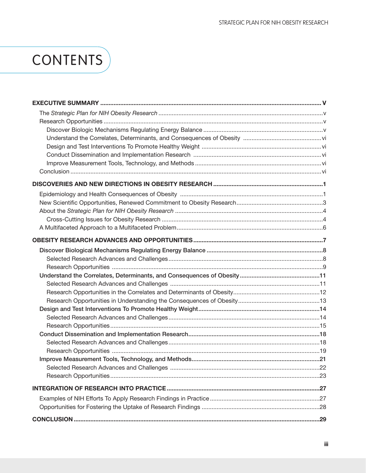# **CONTENTS**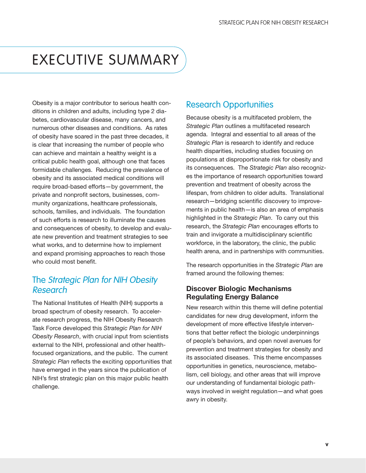## <span id="page-6-0"></span>EXECUTIVE SUMMARY

Obesity is a major contributor to serious health conditions in children and adults, including type 2 diabetes, cardiovascular disease, many cancers, and numerous other diseases and conditions. As rates of obesity have soared in the past three decades, it is clear that increasing the number of people who can achieve and maintain a healthy weight is a critical public health goal, although one that faces formidable challenges. Reducing the prevalence of obesity and its associated medical conditions will require broad-based efforts—by government, the private and nonprofit sectors, businesses, community organizations, healthcare professionals, schools, families, and individuals. The foundation of such efforts is research to illuminate the causes and consequences of obesity, to develop and evaluate new prevention and treatment strategies to see what works, and to determine how to implement and expand promising approaches to reach those who could most benefit.

### The Strategic Plan for NIH Obesity Research

The National Institutes of Health (NIH) supports a broad spectrum of obesity research. To accelerate research progress, the NIH Obesity Research Task Force developed this *Strategic Plan for NIH Obesity Research*, with crucial input from scientists external to the NIH, professional and other healthfocused organizations, and the public. The current *Strategic Plan* reflects the exciting opportunities that have emerged in the years since the publication of NIH's first strategic plan on this major public health challenge.

### Research Opportunities

Because obesity is a multifaceted problem, the *Strategic Plan* outlines a multifaceted research agenda. Integral and essential to all areas of the *Strategic Plan* is research to identify and reduce health disparities, including studies focusing on populations at disproportionate risk for obesity and its consequences. The *Strategic Plan* also recognizes the importance of research opportunities toward prevention and treatment of obesity across the lifespan, from children to older adults. Translational research—bridging scientific discovery to improvements in public health—is also an area of emphasis highlighted in the *Strategic Plan*. To carry out this research, the *Strategic Plan* encourages efforts to train and invigorate a multidisciplinary scientific workforce, in the laboratory, the clinic, the public health arena, and in partnerships with communities.

The research opportunities in the *Strategic Plan* are framed around the following themes:

### Discover Biologic Mechanisms Regulating Energy Balance

New research within this theme will define potential candidates for new drug development, inform the development of more effective lifestyle interventions that better reflect the biologic underpinnings of people's behaviors, and open novel avenues for prevention and treatment strategies for obesity and its associated diseases. This theme encompasses opportunities in genetics, neuroscience, metabolism, cell biology, and other areas that will improve our understanding of fundamental biologic pathways involved in weight regulation—and what goes awry in obesity.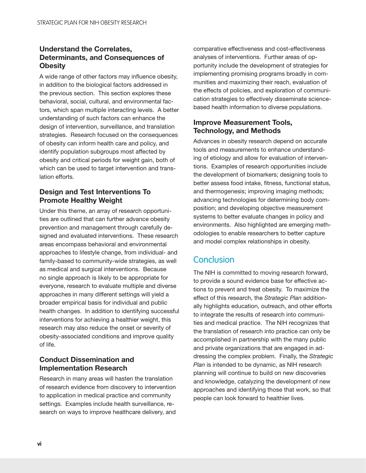### <span id="page-7-0"></span>Understand the Correlates, Determinants, and Consequences of **Obesity**

A wide range of other factors may influence obesity, in addition to the biological factors addressed in the previous section. This section explores these behavioral, social, cultural, and environmental factors, which span multiple interacting levels. A better understanding of such factors can enhance the design of intervention, surveillance, and translation strategies. Research focused on the consequences of obesity can inform health care and policy, and identify population subgroups most affected by obesity and critical periods for weight gain, both of which can be used to target intervention and translation efforts.

### Design and Test Interventions To Promote Healthy Weight

Under this theme, an array of research opportunities are outlined that can further advance obesity prevention and management through carefully designed and evaluated interventions. These research areas encompass behavioral and environmental approaches to lifestyle change, from individual- and family-based to community-wide strategies, as well as medical and surgical interventions. Because no single approach is likely to be appropriate for everyone, research to evaluate multiple and diverse approaches in many different settings will yield a broader empirical basis for individual and public health changes. In addition to identifying successful interventions for achieving a healthier weight, this research may also reduce the onset or severity of obesity-associated conditions and improve quality of life.

### Conduct Dissemination and Implementation Research

Research in many areas will hasten the translation of research evidence from discovery to intervention to application in medical practice and community settings. Examples include health surveillance, research on ways to improve healthcare delivery, and

comparative effectiveness and cost-effectiveness analyses of interventions. Further areas of opportunity include the development of strategies for implementing promising programs broadly in communities and maximizing their reach, evaluation of the effects of policies, and exploration of communication strategies to effectively disseminate sciencebased health information to diverse populations.

### Improve Measurement Tools, Technology, and Methods

Advances in obesity research depend on accurate tools and measurements to enhance understanding of etiology and allow for evaluation of interventions. Examples of research opportunities include the development of biomarkers; designing tools to better assess food intake, fitness, functional status, and thermogenesis; improving imaging methods; advancing technologies for determining body composition; and developing objective measurement systems to better evaluate changes in policy and environments. Also highlighted are emerging methodologies to enable researchers to better capture and model complex relationships in obesity.

### **Conclusion**

The NIH is committed to moving research forward, to provide a sound evidence base for effective actions to prevent and treat obesity. To maximize the effect of this research, the *Strategic Plan* additionally highlights education, outreach, and other efforts to integrate the results of research into communities and medical practice. The NIH recognizes that the translation of research into practice can only be accomplished in partnership with the many public and private organizations that are engaged in addressing the complex problem. Finally, the *Strategic Plan* is intended to be dynamic, as NIH research planning will continue to build on new discoveries and knowledge, catalyzing the development of new approaches and identifying those that work, so that people can look forward to healthier lives.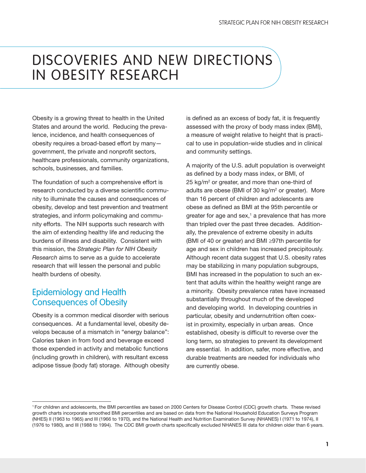## <span id="page-8-0"></span>DISCOVERIES AND NEW DIRECTIONS IN OBESITY RESEARCH

Obesity is a growing threat to health in the United States and around the world. Reducing the prevalence, incidence, and health consequences of obesity requires a broad-based effort by many government, the private and nonprofit sectors, healthcare professionals, community organizations, schools, businesses, and families.

The foundation of such a comprehensive effort is research conducted by a diverse scientific community to illuminate the causes and consequences of obesity, develop and test prevention and treatment strategies, and inform policymaking and community efforts. The NIH supports such research with the aim of extending healthy life and reducing the burdens of illness and disability. Consistent with this mission, the *Strategic Plan for NIH Obesity Research* aims to serve as a guide to accelerate research that will lessen the personal and public health burdens of obesity.

## Epidemiology and Health Consequences of Obesity

Obesity is a common medical disorder with serious consequences. At a fundamental level, obesity develops because of a mismatch in "energy balance": Calories taken in from food and beverage exceed those expended in activity and metabolic functions (including growth in children), with resultant excess adipose tissue (body fat) storage. Although obesity is defined as an excess of body fat, it is frequently assessed with the proxy of body mass index (BMI), a measure of weight relative to height that is practical to use in population-wide studies and in clinical and community settings.

A majority of the U.S. adult population is overweight as defined by a body mass index, or BMI, of 25 kg/m<sup>2</sup> or greater, and more than one-third of adults are obese (BMI of 30 kg/m<sup>2</sup> or greater). More than 16 percent of children and adolescents are obese as defined as BMI at the 95th percentile or greater for age and sex, $<sup>1</sup>$  a prevalence that has more</sup> than tripled over the past three decades. Additionally, the prevalence of extreme obesity in adults (BMI of 40 or greater) and BMI ≥97th percentile for age and sex in children has increased precipitously. Although recent data suggest that U.S. obesity rates may be stabilizing in many population subgroups, BMI has increased in the population to such an extent that adults within the healthy weight range are a minority. Obesity prevalence rates have increased substantially throughout much of the developed and developing world. In developing countries in particular, obesity and undernutrition often coexist in proximity, especially in urban areas. Once established, obesity is difficult to reverse over the long term, so strategies to prevent its development are essential. In addition, safer, more effective, and durable treatments are needed for individuals who are currently obese.

<sup>1</sup> For children and adolescents, the BMI percentiles are based on 2000 Centers for Disease Control (CDC) growth charts. These revised growth charts incorporate smoothed BMI percentiles and are based on data from the National Household Education Surveys Program (NHES) II (1963 to 1965) and III (1966 to 1970), and the National Health and Nutrition Examination Survey (NHANES) I (1971 to 1974), II (1976 to 1980), and III (1988 to 1994). The CDC BMI growth charts specifically excluded NHANES III data for children older than 6 years.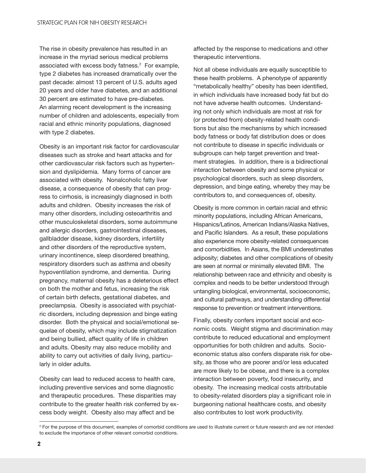The rise in obesity prevalence has resulted in an increase in the myriad serious medical problems associated with excess body fatness.<sup>2</sup> For example, type 2 diabetes has increased dramatically over the past decade: almost 13 percent of U.S. adults aged 20 years and older have diabetes, and an additional 30 percent are estimated to have pre-diabetes. An alarming recent development is the increasing number of children and adolescents, especially from racial and ethnic minority populations, diagnosed with type 2 diabetes.

Obesity is an important risk factor for cardiovascular diseases such as stroke and heart attacks and for other cardiovascular risk factors such as hypertension and dyslipidemia. Many forms of cancer are associated with obesity. Nonalcoholic fatty liver disease, a consequence of obesity that can progress to cirrhosis, is increasingly diagnosed in both adults and children. Obesity increases the risk of many other disorders, including osteoarthritis and other musculoskeletal disorders, some autoimmune and allergic disorders, gastrointestinal diseases, gallbladder disease, kidney disorders, infertility and other disorders of the reproductive system, urinary incontinence, sleep disordered breathing, respiratory disorders such as asthma and obesity hypoventilation syndrome, and dementia. During pregnancy, maternal obesity has a deleterious effect on both the mother and fetus, increasing the risk of certain birth defects, gestational diabetes, and preeclampsia. Obesity is associated with psychiatric disorders, including depression and binge eating disorder. Both the physical and social/emotional sequelae of obesity, which may include stigmatization and being bullied, affect quality of life in children and adults. Obesity may also reduce mobility and ability to carry out activities of daily living, particularly in older adults.

Obesity can lead to reduced access to health care, including preventive services and some diagnostic and therapeutic procedures. These disparities may contribute to the greater health risk conferred by excess body weight. Obesity also may affect and be

affected by the response to medications and other therapeutic interventions.

Not all obese individuals are equally susceptible to these health problems. A phenotype of apparently "metabolically healthy" obesity has been identified, in which individuals have increased body fat but do not have adverse health outcomes. Understanding not only which individuals are most at risk for (or protected from) obesity-related health conditions but also the mechanisms by which increased body fatness or body fat distribution does or does not contribute to disease in specific individuals or subgroups can help target prevention and treatment strategies. In addition, there is a bidirectional interaction between obesity and some physical or psychological disorders, such as sleep disorders, depression, and binge eating, whereby they may be contributors to, and consequences of, obesity.

Obesity is more common in certain racial and ethnic minority populations, including African Americans, Hispanics/Latinos, American Indians/Alaska Natives, and Pacific Islanders. As a result, these populations also experience more obesity-related consequences and comorbidities. In Asians, the BMI underestimates adiposity; diabetes and other complications of obesity are seen at normal or minimally elevated BMI. The relationship between race and ethnicity and obesity is complex and needs to be better understood through untangling biological, environmental, socioeconomic, and cultural pathways, and understanding differential response to prevention or treatment interventions.

Finally, obesity confers important social and economic costs. Weight stigma and discrimination may contribute to reduced educational and employment opportunities for both children and adults. Socioeconomic status also confers disparate risk for obesity, as those who are poorer and/or less educated are more likely to be obese, and there is a complex interaction between poverty, food insecurity, and obesity. The increasing medical costs attributable to obesity-related disorders play a significant role in burgeoning national healthcare costs, and obesity also contributes to lost work productivity.

<sup>&</sup>lt;sup>2</sup> For the purpose of this document, examples of comorbid conditions are used to illustrate current or future research and are not intended to exclude the importance of other relevant comorbid conditions.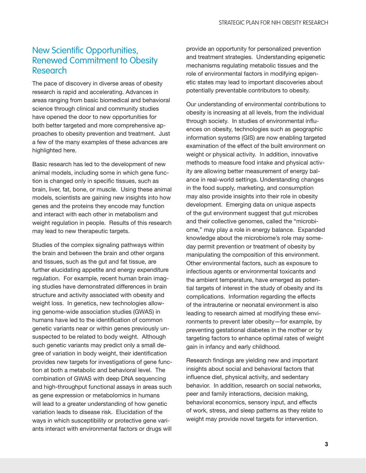## <span id="page-10-0"></span>New Scientific Opportunities, Renewed Commitment to Obesity Research

The pace of discovery in diverse areas of obesity research is rapid and accelerating. Advances in areas ranging from basic biomedical and behavioral science through clinical and community studies have opened the door to new opportunities for both better targeted and more comprehensive approaches to obesity prevention and treatment. Just a few of the many examples of these advances are highlighted here.

Basic research has led to the development of new animal models, including some in which gene function is changed only in specific tissues, such as brain, liver, fat, bone, or muscle. Using these animal models, scientists are gaining new insights into how genes and the proteins they encode may function and interact with each other in metabolism and weight regulation in people. Results of this research may lead to new therapeutic targets.

Studies of the complex signaling pathways within the brain and between the brain and other organs and tissues, such as the gut and fat tissue, are further elucidating appetite and energy expenditure regulation. For example, recent human brain imaging studies have demonstrated differences in brain structure and activity associated with obesity and weight loss. In genetics, new technologies allowing genome-wide association studies (GWAS) in humans have led to the identification of common genetic variants near or within genes previously unsuspected to be related to body weight. Although such genetic variants may predict only a small degree of variation in body weight, their identification provides new targets for investigations of gene function at both a metabolic and behavioral level. The combination of GWAS with deep DNA sequencing and high-throughput functional assays in areas such as gene expression or metabolomics in humans will lead to a greater understanding of how genetic variation leads to disease risk. Elucidation of the ways in which susceptibility or protective gene variants interact with environmental factors or drugs will

provide an opportunity for personalized prevention and treatment strategies. Understanding epigenetic mechanisms regulating metabolic tissues and the role of environmental factors in modifying epigenetic states may lead to important discoveries about potentially preventable contributors to obesity.

Our understanding of environmental contributions to obesity is increasing at all levels, from the individual through society. In studies of environmental influences on obesity, technologies such as geographic information systems (GIS) are now enabling targeted examination of the effect of the built environment on weight or physical activity. In addition, innovative methods to measure food intake and physical activity are allowing better measurement of energy balance in real-world settings. Understanding changes in the food supply, marketing, and consumption may also provide insights into their role in obesity development. Emerging data on unique aspects of the gut environment suggest that gut microbes and their collective genomes, called the "microbiome," may play a role in energy balance. Expanded knowledge about the microbiome's role may someday permit prevention or treatment of obesity by manipulating the composition of this environment. Other environmental factors, such as exposure to infectious agents or environmental toxicants and the ambient temperature, have emerged as potential targets of interest in the study of obesity and its complications. Information regarding the effects of the intrauterine or neonatal environment is also leading to research aimed at modifying these environments to prevent later obesity—for example, by preventing gestational diabetes in the mother or by targeting factors to enhance optimal rates of weight gain in infancy and early childhood.

Research findings are yielding new and important insights about social and behavioral factors that influence diet, physical activity, and sedentary behavior. In addition, research on social networks, peer and family interactions, decision making, behavioral economics, sensory input, and effects of work, stress, and sleep patterns as they relate to weight may provide novel targets for intervention.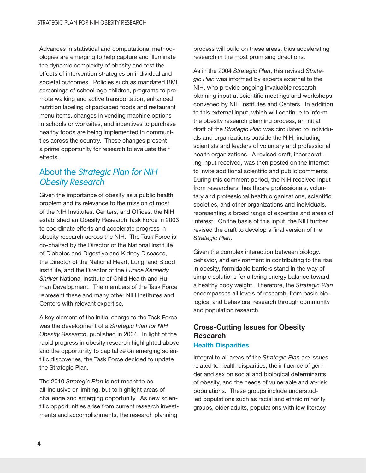<span id="page-11-0"></span>Advances in statistical and computational methodologies are emerging to help capture and illuminate the dynamic complexity of obesity and test the effects of intervention strategies on individual and societal outcomes. Policies such as mandated BMI screenings of school-age children, programs to promote walking and active transportation, enhanced nutrition labeling of packaged foods and restaurant menu items, changes in vending machine options in schools or worksites, and incentives to purchase healthy foods are being implemented in communities across the country. These changes present a prime opportunity for research to evaluate their effects.

### About the Strategic Plan for NIH Obesity Research

Given the importance of obesity as a public health problem and its relevance to the mission of most of the NIH Institutes, Centers, and Offices, the NIH established an Obesity Research Task Force in 2003 to coordinate efforts and accelerate progress in obesity research across the NIH. The Task Force is co-chaired by the Director of the National Institute of Diabetes and Digestive and Kidney Diseases, the Director of the National Heart, Lung, and Blood Institute, and the Director of the *Eunice Kennedy Shriver* National Institute of Child Health and Human Development. The members of the Task Force represent these and many other NIH Institutes and Centers with relevant expertise.

A key element of the initial charge to the Task Force was the development of a *Strategic Plan for NIH Obesity Research*, published in 2004. In light of the rapid progress in obesity research highlighted above and the opportunity to capitalize on emerging scientific discoveries, the Task Force decided to update the Strategic Plan.

The 2010 *Strategic Plan* is not meant to be all-inclusive or limiting, but to highlight areas of challenge and emerging opportunity. As new scientific opportunities arise from current research investments and accomplishments, the research planning

process will build on these areas, thus accelerating research in the most promising directions.

As in the 2004 *Strategic Plan*, this revised *Strategic Plan* was informed by experts external to the NIH, who provide ongoing invaluable research planning input at scientific meetings and workshops convened by NIH Institutes and Centers. In addition to this external input, which will continue to inform the obesity research planning process, an initial draft of the *Strategic Plan* was circulated to individuals and organizations outside the NIH, including scientists and leaders of voluntary and professional health organizations. A revised draft, incorporating input received, was then posted on the Internet to invite additional scientific and public comments. During this comment period, the NIH received input from researchers, healthcare professionals, voluntary and professional health organizations, scientific societies, and other organizations and individuals, representing a broad range of expertise and areas of interest. On the basis of this input, the NIH further revised the draft to develop a final version of the *Strategic Plan*.

Given the complex interaction between biology, behavior, and environment in contributing to the rise in obesity, formidable barriers stand in the way of simple solutions for altering energy balance toward a healthy body weight. Therefore, the *Strategic Plan*  encompasses all levels of research, from basic biological and behavioral research through community and population research.

### Cross-Cutting Issues for Obesity **Research** Health Disparities

### Integral to all areas of the *Strategic Plan* are issues related to health disparities, the influence of gender and sex on social and biological determinants of obesity, and the needs of vulnerable and at-risk populations. These groups include understudied populations such as racial and ethnic minority groups, older adults, populations with low literacy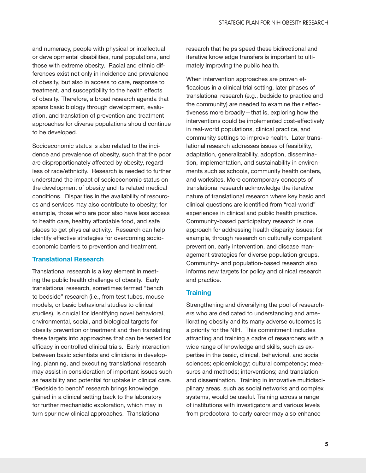and numeracy, people with physical or intellectual or developmental disabilities, rural populations, and those with extreme obesity. Racial and ethnic differences exist not only in incidence and prevalence of obesity, but also in access to care, response to treatment, and susceptibility to the health effects of obesity. Therefore, a broad research agenda that spans basic biology through development, evaluation, and translation of prevention and treatment approaches for diverse populations should continue to be developed.

Socioeconomic status is also related to the incidence and prevalence of obesity, such that the poor are disproportionately affected by obesity, regardless of race/ethnicity. Research is needed to further understand the impact of socioeconomic status on the development of obesity and its related medical conditions. Disparities in the availability of resources and services may also contribute to obesity; for example, those who are poor also have less access to health care, healthy affordable food, and safe places to get physical activity. Research can help identify effective strategies for overcoming socioeconomic barriers to prevention and treatment.

#### Translational Research

Translational research is a key element in meeting the public health challenge of obesity. Early translational research, sometimes termed "bench to bedside" research (i.e., from test tubes, mouse models, or basic behavioral studies to clinical studies), is crucial for identifying novel behavioral, environmental, social, and biological targets for obesity prevention or treatment and then translating these targets into approaches that can be tested for efficacy in controlled clinical trials. Early interaction between basic scientists and clinicians in developing, planning, and executing translational research may assist in consideration of important issues such as feasibility and potential for uptake in clinical care. "Bedside to bench" research brings knowledge gained in a clinical setting back to the laboratory for further mechanistic exploration, which may in turn spur new clinical approaches. Translational

research that helps speed these bidirectional and iterative knowledge transfers is important to ultimately improving the public health.

When intervention approaches are proven efficacious in a clinical trial setting, later phases of translational research (e.g., bedside to practice and the community) are needed to examine their effectiveness more broadly—that is, exploring how the interventions could be implemented cost-effectively in real-world populations, clinical practice, and community settings to improve health. Later translational research addresses issues of feasibility, adaptation, generalizability, adoption, dissemination, implementation, and sustainability in environments such as schools, community health centers, and worksites. More contemporary concepts of translational research acknowledge the iterative nature of translational research where key basic and clinical questions are identified from "real-world" experiences in clinical and public health practice. Community-based participatory research is one approach for addressing health disparity issues: for example, through research on culturally competent prevention, early intervention, and disease management strategies for diverse population groups. Community- and population-based research also informs new targets for policy and clinical research and practice.

#### **Training**

Strengthening and diversifying the pool of researchers who are dedicated to understanding and ameliorating obesity and its many adverse outcomes is a priority for the NIH. This commitment includes attracting and training a cadre of researchers with a wide range of knowledge and skills, such as expertise in the basic, clinical, behavioral, and social sciences; epidemiology; cultural competency; measures and methods; interventions; and translation and dissemination. Training in innovative multidisciplinary areas, such as social networks and complex systems, would be useful. Training across a range of institutions with investigators and various levels from predoctoral to early career may also enhance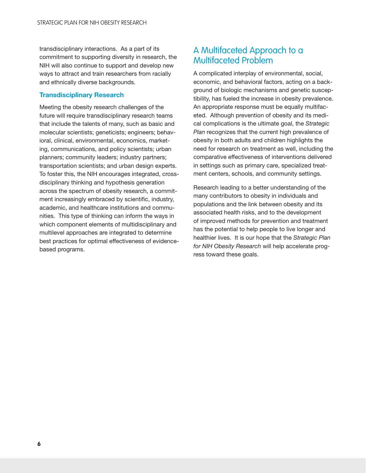<span id="page-13-0"></span>transdisciplinary interactions. As a part of its commitment to supporting diversity in research, the NIH will also continue to support and develop new ways to attract and train researchers from racially and ethnically diverse backgrounds.

### Transdisciplinary Research

Meeting the obesity research challenges of the future will require transdisciplinary research teams that include the talents of many, such as basic and molecular scientists; geneticists; engineers; behavioral, clinical, environmental, economics, marketing, communications, and policy scientists; urban planners; community leaders; industry partners; transportation scientists; and urban design experts. To foster this, the NIH encourages integrated, crossdisciplinary thinking and hypothesis generation across the spectrum of obesity research, a commitment increasingly embraced by scientific, industry, academic, and healthcare institutions and communities. This type of thinking can inform the ways in which component elements of multidisciplinary and multilevel approaches are integrated to determine best practices for optimal effectiveness of evidencebased programs.

### A Multifaceted Approach to a Multifaceted Problem

A complicated interplay of environmental, social, economic, and behavioral factors, acting on a background of biologic mechanisms and genetic susceptibility, has fueled the increase in obesity prevalence. An appropriate response must be equally multifaceted. Although prevention of obesity and its medical complications is the ultimate goal, the *Strategic Plan* recognizes that the current high prevalence of obesity in both adults and children highlights the need for research on treatment as well, including the comparative effectiveness of interventions delivered in settings such as primary care, specialized treatment centers, schools, and community settings.

Research leading to a better understanding of the many contributors to obesity in individuals and populations and the link between obesity and its associated health risks, and to the development of improved methods for prevention and treatment has the potential to help people to live longer and healthier lives. It is our hope that the *Strategic Plan for NIH Obesity Research* will help accelerate progress toward these goals.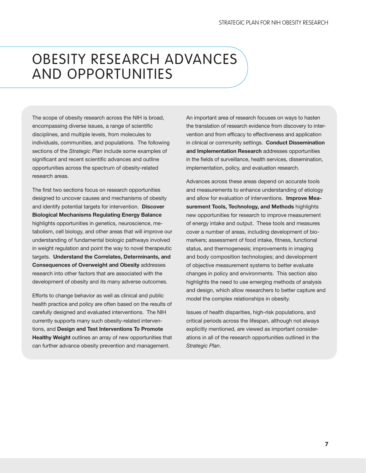## <span id="page-14-0"></span>OBESITY RESEARCH ADVANCES AND OPPORTUNITIES

The scope of obesity research across the NIH is broad, encompassing diverse issues, a range of scientific disciplines, and multiple levels, from molecules to individuals, communities, and populations. The following sections of the *Strategic Plan* include some examples of significant and recent scientific advances and outline opportunities across the spectrum of obesity-related research areas.

The first two sections focus on research opportunities designed to uncover causes and mechanisms of obesity and identify potential targets for intervention. Discover Biological Mechanisms Regulating Energy Balance highlights opportunities in genetics, neuroscience, metabolism, cell biology, and other areas that will improve our understanding of fundamental biologic pathways involved in weight regulation and point the way to novel therapeutic targets. Understand the Correlates, Determinants, and Consequences of Overweight and Obesity addresses research into other factors that are associated with the development of obesity and its many adverse outcomes.

Efforts to change behavior as well as clinical and public health practice and policy are often based on the results of carefully designed and evaluated interventions. The NIH currently supports many such obesity-related interventions, and Design and Test Interventions To Promote Healthy Weight outlines an array of new opportunities that can further advance obesity prevention and management.

An important area of research focuses on ways to hasten the translation of research evidence from discovery to intervention and from efficacy to effectiveness and application in clinical or community settings. Conduct Dissemination and Implementation Research addresses opportunities in the fields of surveillance, health services, dissemination, implementation, policy, and evaluation research.

Advances across these areas depend on accurate tools and measurements to enhance understanding of etiology and allow for evaluation of interventions. Improve Measurement Tools, Technology, and Methods highlights new opportunities for research to improve measurement of energy intake and output. These tools and measures cover a number of areas, including development of biomarkers; assessment of food intake, fitness, functional status, and thermogenesis; improvements in imaging and body composition technologies; and development of objective measurement systems to better evaluate changes in policy and environments. This section also highlights the need to use emerging methods of analysis and design, which allow researchers to better capture and model the complex relationships in obesity.

Issues of health disparities, high-risk populations, and critical periods across the lifespan, although not always explicitly mentioned, are viewed as important considerations in all of the research opportunities outlined in the *Strategic Plan*.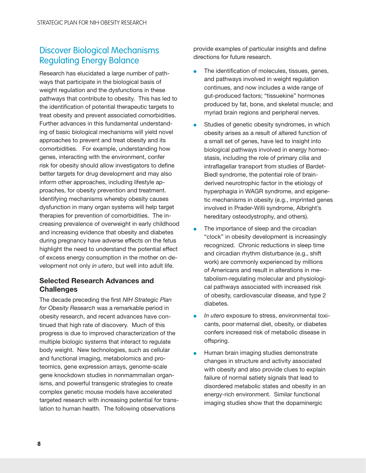### <span id="page-15-0"></span>Discover Biological Mechanisms Regulating Energy Balance

Research has elucidated a large number of pathways that participate in the biological basis of weight regulation and the dysfunctions in these pathways that contribute to obesity. This has led to the identification of potential therapeutic targets to treat obesity and prevent associated comorbidities. Further advances in this fundamental understanding of basic biological mechanisms will yield novel approaches to prevent and treat obesity and its comorbidities. For example, understanding how genes, interacting with the environment, confer risk for obesity should allow investigators to define better targets for drug development and may also inform other approaches, including lifestyle approaches, for obesity prevention and treatment. Identifying mechanisms whereby obesity causes dysfunction in many organ systems will help target therapies for prevention of comorbidities. The increasing prevalence of overweight in early childhood and increasing evidence that obesity and diabetes during pregnancy have adverse effects on the fetus highlight the need to understand the potential effect of excess energy consumption in the mother on development not only *in utero*, but well into adult life.

### Selected Research Advances and **Challenges**

The decade preceding the first *NIH Strategic Plan for Obesity Research* was a remarkable period in obesity research, and recent advances have continued that high rate of discovery. Much of this progress is due to improved characterization of the multiple biologic systems that interact to regulate body weight. New technologies, such as cellular and functional imaging, metabolomics and proteomics, gene expression arrays, genome-scale gene knockdown studies in nonmammalian organisms, and powerful transgenic strategies to create complex genetic mouse models have accelerated targeted research with increasing potential for translation to human health. The following observations

provide examples of particular insights and define directions for future research.

- $\bullet$ The identification of molecules, tissues, genes, and pathways involved in weight regulation continues, and now includes a wide range of gut-produced factors; "tissuekine" hormones produced by fat, bone, and skeletal muscle; and myriad brain regions and peripheral nerves.
- $\bullet$ Studies of genetic obesity syndromes, in which obesity arises as a result of altered function of a small set of genes, have led to insight into biological pathways involved in energy homeostasis, including the role of primary cilia and intraflagellar transport from studies of Bardet-Biedl syndrome, the potential role of brainderived neurotrophic factor in the etiology of hyperphagia in WAGR syndrome, and epigenetic mechanisms in obesity (e.g., imprinted genes involved in Prader-Willi syndrome, Albright's hereditary osteodystrophy, and others).
- $\bullet$ The importance of sleep and the circadian "clock" in obesity development is increasingly recognized. Chronic reductions in sleep time and circadian rhythm disturbance (e.g., shift work) are commonly experienced by millions of Americans and result in alterations in metabolism-regulating molecular and physiological pathways associated with increased risk of obesity, cardiovascular disease, and type 2 diabetes.
- $\bullet$ *In utero* exposure to stress, environmental toxicants, poor maternal diet, obesity, or diabetes confers increased risk of metabolic disease in offspring.
- $\bullet$ Human brain imaging studies demonstrate changes in structure and activity associated with obesity and also provide clues to explain failure of normal satiety signals that lead to disordered metabolic states and obesity in an energy-rich environment. Similar functional imaging studies show that the dopaminergic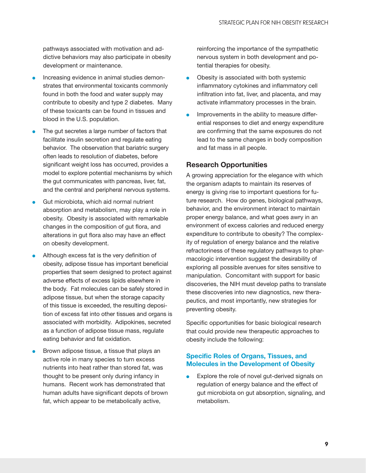<span id="page-16-0"></span>pathways associated with motivation and addictive behaviors may also participate in obesity development or maintenance.

- $\bullet$ Increasing evidence in animal studies demonstrates that environmental toxicants commonly found in both the food and water supply may contribute to obesity and type 2 diabetes. Many of these toxicants can be found in tissues and blood in the U.S. population.
- $\bullet$ The gut secretes a large number of factors that facilitate insulin secretion and regulate eating behavior. The observation that bariatric surgery often leads to resolution of diabetes, before significant weight loss has occurred, provides a model to explore potential mechanisms by which the gut communicates with pancreas, liver, fat, and the central and peripheral nervous systems.
- $\bullet$ Gut microbiota, which aid normal nutrient absorption and metabolism, may play a role in obesity. Obesity is associated with remarkable changes in the composition of gut flora, and alterations in gut flora also may have an effect on obesity development.
- $\bullet$ Although excess fat is the very definition of obesity, adipose tissue has important beneficial properties that seem designed to protect against adverse effects of excess lipids elsewhere in the body. Fat molecules can be safely stored in adipose tissue, but when the storage capacity of this tissue is exceeded, the resulting deposition of excess fat into other tissues and organs is associated with morbidity. Adipokines, secreted as a function of adipose tissue mass, regulate eating behavior and fat oxidation.
- $\bullet$ Brown adipose tissue, a tissue that plays an active role in many species to turn excess nutrients into heat rather than stored fat, was thought to be present only during infancy in humans. Recent work has demonstrated that human adults have significant depots of brown fat, which appear to be metabolically active,

reinforcing the importance of the sympathetic nervous system in both development and potential therapies for obesity.

- $\bullet$ Obesity is associated with both systemic inflammatory cytokines and inflammatory cell infiltration into fat, liver, and placenta, and may activate inflammatory processes in the brain.
- $\bullet$ Improvements in the ability to measure differential responses to diet and energy expenditure are confirming that the same exposures do not lead to the same changes in body composition and fat mass in all people.

### Research Opportunities

A growing appreciation for the elegance with which the organism adapts to maintain its reserves of energy is giving rise to important questions for future research. How do genes, biological pathways, behavior, and the environment interact to maintain proper energy balance, and what goes awry in an environment of excess calories and reduced energy expenditure to contribute to obesity? The complexity of regulation of energy balance and the relative refractoriness of these regulatory pathways to pharmacologic intervention suggest the desirability of exploring all possible avenues for sites sensitive to manipulation. Concomitant with support for basic discoveries, the NIH must develop paths to translate these discoveries into new diagnostics, new therapeutics, and most importantly, new strategies for preventing obesity.

Specific opportunities for basic biological research that could provide new therapeutic approaches to obesity include the following:

### Specific Roles of Organs, Tissues, and Molecules in the Development of Obesity

 $\bullet$  Explore the role of novel gut-derived signals on regulation of energy balance and the effect of gut microbiota on gut absorption, signaling, and metabolism.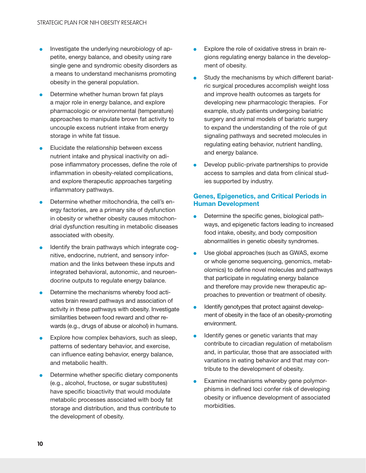- $\bullet$ Investigate the underlying neurobiology of appetite, energy balance, and obesity using rare single gene and syndromic obesity disorders as a means to understand mechanisms promoting obesity in the general population.
- $\bullet$ Determine whether human brown fat plays a major role in energy balance, and explore pharmacologic or environmental (temperature) approaches to manipulate brown fat activity to uncouple excess nutrient intake from energy storage in white fat tissue.
- $\bullet$ Elucidate the relationship between excess nutrient intake and physical inactivity on adipose inflammatory processes, define the role of inflammation in obesity-related complications, and explore therapeutic approaches targeting inflammatory pathways.
- $\bullet$ Determine whether mitochondria, the cell's energy factories, are a primary site of dysfunction in obesity or whether obesity causes mitochondrial dysfunction resulting in metabolic diseases associated with obesity.
- $\bullet$ Identify the brain pathways which integrate cognitive, endocrine, nutrient, and sensory information and the links between these inputs and integrated behavioral, autonomic, and neuroendocrine outputs to regulate energy balance.
- $\bullet$ Determine the mechanisms whereby food activates brain reward pathways and association of activity in these pathways with obesity. Investigate similarities between food reward and other rewards (e.g., drugs of abuse or alcohol) in humans.
- $\bullet$ Explore how complex behaviors, such as sleep, patterns of sedentary behavior, and exercise, can influence eating behavior, energy balance, and metabolic health.
- $\bullet$ Determine whether specific dietary components (e.g., alcohol, fructose, or sugar substitutes) have specific bioactivity that would modulate metabolic processes associated with body fat storage and distribution, and thus contribute to the development of obesity.
- $\bullet$ Explore the role of oxidative stress in brain regions regulating energy balance in the development of obesity.
- l Study the mechanisms by which different bariatric surgical procedures accomplish weight loss and improve health outcomes as targets for developing new pharmacologic therapies. For example, study patients undergoing bariatric surgery and animal models of bariatric surgery to expand the understanding of the role of gut signaling pathways and secreted molecules in regulating eating behavior, nutrient handling, and energy balance.
- $\bullet$ Develop public-private partnerships to provide access to samples and data from clinical studies supported by industry.

#### Genes, Epigenetics, and Critical Periods in Human Development

- $\bullet$ Determine the specific genes, biological pathways, and epigenetic factors leading to increased food intake, obesity, and body composition abnormalities in genetic obesity syndromes.
- $\bullet$ Use global approaches (such as GWAS, exome or whole genome sequencing, genomics, metabolomics) to define novel molecules and pathways that participate in regulating energy balance and therefore may provide new therapeutic approaches to prevention or treatment of obesity.
- $\bullet$ Identify genotypes that protect against development of obesity in the face of an obesity-promoting environment.
- $\bullet$ Identify genes or genetic variants that may contribute to circadian regulation of metabolism and, in particular, those that are associated with variations in eating behavior and that may contribute to the development of obesity.
- $\bullet$ Examine mechanisms whereby gene polymorphisms in defined loci confer risk of developing obesity or influence development of associated morbidities.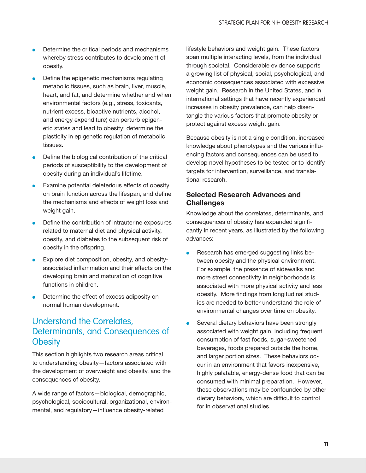- <span id="page-18-0"></span> $\bullet$ Determine the critical periods and mechanisms whereby stress contributes to development of obesity.
- $\bullet$ Define the epigenetic mechanisms regulating metabolic tissues, such as brain, liver, muscle, heart, and fat, and determine whether and when environmental factors (e.g., stress, toxicants, nutrient excess, bioactive nutrients, alcohol, and energy expenditure) can perturb epigenetic states and lead to obesity; determine the plasticity in epigenetic regulation of metabolic tissues.
- $\bullet$ Define the biological contribution of the critical periods of susceptibility to the development of obesity during an individual's lifetime.
- $\bullet$ Examine potential deleterious effects of obesity on brain function across the lifespan, and define the mechanisms and effects of weight loss and weight gain.
- $\bullet$ Define the contribution of intrauterine exposures related to maternal diet and physical activity, obesity, and diabetes to the subsequent risk of obesity in the offspring.
- $\bullet$ Explore diet composition, obesity, and obesityassociated inflammation and their effects on the developing brain and maturation of cognitive functions in children.
- $\bullet$ Determine the effect of excess adiposity on normal human development.

### Understand the Correlates, Determinants, and Consequences of **Obesity**

This section highlights two research areas critical to understanding obesity—factors associated with the development of overweight and obesity, and the consequences of obesity.

A wide range of factors—biological, demographic, psychological, sociocultural, organizational, environmental, and regulatory—influence obesity-related

lifestyle behaviors and weight gain. These factors span multiple interacting levels, from the individual through societal. Considerable evidence supports a growing list of physical, social, psychological, and economic consequences associated with excessive weight gain. Research in the United States, and in international settings that have recently experienced increases in obesity prevalence, can help disentangle the various factors that promote obesity or protect against excess weight gain.

Because obesity is not a single condition, increased knowledge about phenotypes and the various influencing factors and consequences can be used to develop novel hypotheses to be tested or to identify targets for intervention, surveillance, and translational research.

### Selected Research Advances and **Challenges**

Knowledge about the correlates, determinants, and consequences of obesity has expanded significantly in recent years, as illustrated by the following advances:

- $\bullet$ Research has emerged suggesting links between obesity and the physical environment. For example, the presence of sidewalks and more street connectivity in neighborhoods is associated with more physical activity and less obesity. More findings from longitudinal studies are needed to better understand the role of environmental changes over time on obesity.
- $\bullet$ Several dietary behaviors have been strongly associated with weight gain, including frequent consumption of fast foods, sugar-sweetened beverages, foods prepared outside the home, and larger portion sizes. These behaviors occur in an environment that favors inexpensive, highly palatable, energy-dense food that can be consumed with minimal preparation. However, these observations may be confounded by other dietary behaviors, which are difficult to control for in observational studies.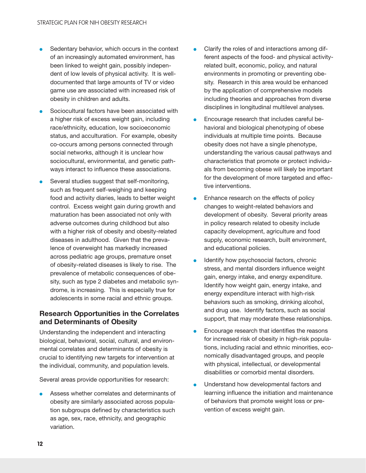- <span id="page-19-0"></span> $\bullet$ Sedentary behavior, which occurs in the context of an increasingly automated environment, has been linked to weight gain, possibly independent of low levels of physical activity. It is welldocumented that large amounts of TV or video game use are associated with increased risk of obesity in children and adults.
- $\bullet$ Sociocultural factors have been associated with a higher risk of excess weight gain, including race/ethnicity, education, low socioeconomic status, and acculturation. For example, obesity co-occurs among persons connected through social networks, although it is unclear how sociocultural, environmental, and genetic pathways interact to influence these associations.
- $\bullet$ Several studies suggest that self-monitoring, such as frequent self-weighing and keeping food and activity diaries, leads to better weight control. Excess weight gain during growth and maturation has been associated not only with adverse outcomes during childhood but also with a higher risk of obesity and obesity-related diseases in adulthood. Given that the prevalence of overweight has markedly increased across pediatric age groups, premature onset of obesity-related diseases is likely to rise. The prevalence of metabolic consequences of obesity, such as type 2 diabetes and metabolic syndrome, is increasing. This is especially true for adolescents in some racial and ethnic groups.

### Research Opportunities in the Correlates and Determinants of Obesity

Understanding the independent and interacting biological, behavioral, social, cultural, and environmental correlates and determinants of obesity is crucial to identifying new targets for intervention at the individual, community, and population levels.

Several areas provide opportunities for research:

Assess whether correlates and determinants of obesity are similarly associated across population subgroups defined by characteristics such as age, sex, race, ethnicity, and geographic variation.

- l Clarify the roles of and interactions among different aspects of the food- and physical activityrelated built, economic, policy, and natural environments in promoting or preventing obesity. Research in this area would be enhanced by the application of comprehensive models including theories and approaches from diverse disciplines in longitudinal multilevel analyses.
- **l** Encourage research that includes careful behavioral and biological phenotyping of obese individuals at multiple time points. Because obesity does not have a single phenotype, understanding the various causal pathways and characteristics that promote or protect individuals from becoming obese will likely be important for the development of more targeted and effective interventions.
- **l** Enhance research on the effects of policy changes to weight-related behaviors and development of obesity. Several priority areas in policy research related to obesity include capacity development, agriculture and food supply, economic research, built environment, and educational policies.
- $\bullet$ Identify how psychosocial factors, chronic stress, and mental disorders influence weight gain, energy intake, and energy expenditure. Identify how weight gain, energy intake, and energy expenditure interact with high-risk behaviors such as smoking, drinking alcohol, and drug use. Identify factors, such as social support, that may moderate these relationships.
- $\bullet$ Encourage research that identifies the reasons for increased risk of obesity in high-risk populations, including racial and ethnic minorities, economically disadvantaged groups, and people with physical, intellectual, or developmental disabilities or comorbid mental disorders.
- $\bullet$ Understand how developmental factors and learning influence the initiation and maintenance of behaviors that promote weight loss or prevention of excess weight gain.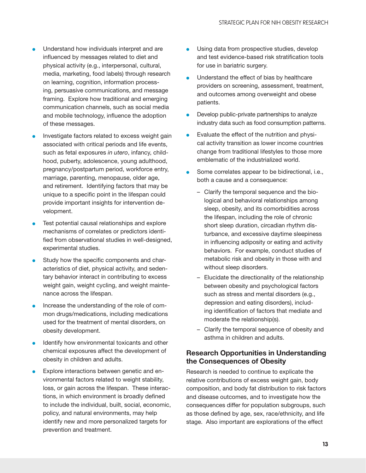- <span id="page-20-0"></span> $\bullet$ Understand how individuals interpret and are influenced by messages related to diet and physical activity (e.g., interpersonal, cultural, media, marketing, food labels) through research on learning, cognition, information processing, persuasive communications, and message framing. Explore how traditional and emerging communication channels, such as social media and mobile technology, influence the adoption of these messages.
- $\bullet$ Investigate factors related to excess weight gain associated with critical periods and life events, such as fetal exposures *in utero*, infancy, childhood, puberty, adolescence, young adulthood, pregnancy/postpartum period, workforce entry, marriage, parenting, menopause, older age, and retirement. Identifying factors that may be unique to a specific point in the lifespan could provide important insights for intervention development.
- $\bullet$ Test potential causal relationships and explore mechanisms of correlates or predictors identified from observational studies in well-designed, experimental studies.
- $\bullet$ Study how the specific components and characteristics of diet, physical activity, and sedentary behavior interact in contributing to excess weight gain, weight cycling, and weight maintenance across the lifespan.
- $\bullet$ Increase the understanding of the role of common drugs/medications, including medications used for the treatment of mental disorders, on obesity development.
- $\bullet$ Identify how environmental toxicants and other chemical exposures affect the development of obesity in children and adults.
- $\bullet$ Explore interactions between genetic and environmental factors related to weight stability, loss, or gain across the lifespan. These interactions, in which environment is broadly defined to include the individual, built, social, economic, policy, and natural environments, may help identify new and more personalized targets for prevention and treatment.
- l Using data from prospective studies, develop and test evidence-based risk stratification tools for use in bariatric surgery.
- l Understand the effect of bias by healthcare providers on screening, assessment, treatment, and outcomes among overweight and obese patients.
- $\bullet$ Develop public-private partnerships to analyze industry data such as food consumption patterns.
- $\bullet$ Evaluate the effect of the nutrition and physical activity transition as lower income countries change from traditional lifestyles to those more emblematic of the industrialized world.
- $\bullet$ Some correlates appear to be bidirectional, i.e., both a cause and a consequence:
	- Clarify the temporal sequence and the biological and behavioral relationships among sleep, obesity, and its comorbidities across the lifespan, including the role of chronic short sleep duration, circadian rhythm disturbance, and excessive daytime sleepiness in influencing adiposity or eating and activity behaviors. For example, conduct studies of metabolic risk and obesity in those with and without sleep disorders.
	- Elucidate the directionality of the relationship between obesity and psychological factors such as stress and mental disorders (e.g., depression and eating disorders), including identification of factors that mediate and moderate the relationship(s).
	- Clarify the temporal sequence of obesity and asthma in children and adults.

### Research Opportunities in Understanding the Consequences of Obesity

Research is needed to continue to explicate the relative contributions of excess weight gain, body composition, and body fat distribution to risk factors and disease outcomes, and to investigate how the consequences differ for population subgroups, such as those defined by age, sex, race/ethnicity, and life stage. Also important are explorations of the effect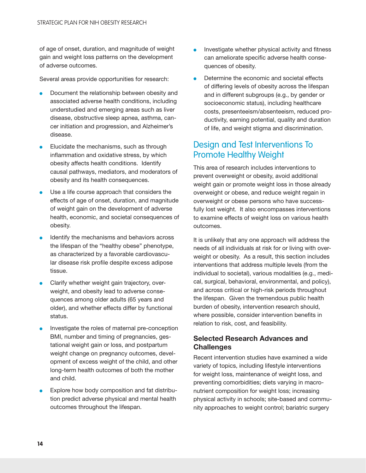<span id="page-21-0"></span>of age of onset, duration, and magnitude of weight gain and weight loss patterns on the development of adverse outcomes.

Several areas provide opportunities for research:

- $\bullet$ Document the relationship between obesity and associated adverse health conditions, including understudied and emerging areas such as liver disease, obstructive sleep apnea, asthma, cancer initiation and progression, and Alzheimer's disease.
- $\bullet$ Elucidate the mechanisms, such as through inflammation and oxidative stress, by which obesity affects health conditions. Identify causal pathways, mediators, and moderators of obesity and its health consequences.
- $\bullet$ Use a life course approach that considers the effects of age of onset, duration, and magnitude of weight gain on the development of adverse health, economic, and societal consequences of obesity.
- $\bullet$ Identify the mechanisms and behaviors across the lifespan of the "healthy obese" phenotype, as characterized by a favorable cardiovascular disease risk profile despite excess adipose tissue.
- $\bullet$ Clarify whether weight gain trajectory, overweight, and obesity lead to adverse consequences among older adults (65 years and older), and whether effects differ by functional status.
- $\bullet$ Investigate the roles of maternal pre-conception BMI, number and timing of pregnancies, gestational weight gain or loss, and postpartum weight change on pregnancy outcomes, development of excess weight of the child, and other long-term health outcomes of both the mother and child.
- $\bullet$ Explore how body composition and fat distribution predict adverse physical and mental health outcomes throughout the lifespan.
- **l** Investigate whether physical activity and fitness can ameliorate specific adverse health consequences of obesity.
- l Determine the economic and societal effects of differing levels of obesity across the lifespan and in different subgroups (e.g., by gender or socioeconomic status), including healthcare costs, presenteeism/absenteeism, reduced productivity, earning potential, quality and duration of life, and weight stigma and discrimination.

### Design and Test Interventions To Promote Healthy Weight

This area of research includes interventions to prevent overweight or obesity, avoid additional weight gain or promote weight loss in those already overweight or obese, and reduce weight regain in overweight or obese persons who have successfully lost weight. It also encompasses interventions to examine effects of weight loss on various health outcomes.

It is unlikely that any one approach will address the needs of all individuals at risk for or living with overweight or obesity. As a result, this section includes interventions that address multiple levels (from the individual to societal), various modalities (e.g., medical, surgical, behavioral, environmental, and policy), and across critical or high-risk periods throughout the lifespan. Given the tremendous public health burden of obesity, intervention research should, where possible, consider intervention benefits in relation to risk, cost, and feasibility.

### Selected Research Advances and **Challenges**

Recent intervention studies have examined a wide variety of topics, including lifestyle interventions for weight loss, maintenance of weight loss, and preventing comorbidities; diets varying in macronutrient composition for weight loss; increasing physical activity in schools; site-based and community approaches to weight control; bariatric surgery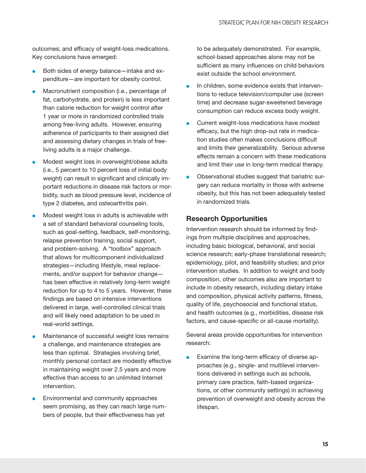<span id="page-22-0"></span>outcomes; and efficacy of weight-loss medications. Key conclusions have emerged:

- $\bullet$ Both sides of energy balance—intake and expenditure—are important for obesity control.
- $\bullet$ Macronutrient composition (i.e., percentage of fat, carbohydrate, and protein) is less important than calorie reduction for weight control after 1 year or more in randomized controlled trials among free-living adults. However, ensuring adherence of participants to their assigned diet and assessing dietary changes in trials of freeliving adults is a major challenge.
- $\bullet$ Modest weight loss in overweight/obese adults (i.e., 5 percent to 10 percent loss of initial body weight) can result in significant and clinically important reductions in disease risk factors or morbidity, such as blood pressure level, incidence of type 2 diabetes, and osteoarthritis pain.
- $\bullet$ Modest weight loss in adults is achievable with a set of standard behavioral counseling tools, such as goal-setting, feedback, self-monitoring, relapse prevention training, social support, and problem-solving. A "toolbox" approach that allows for multicomponent individualized strategies—including lifestyle, meal replacements, and/or support for behavior change has been effective in relatively long-term weight reduction for up to 4 to 5 years. However, these findings are based on intensive interventions delivered in large, well-controlled clinical trials and will likely need adaptation to be used in real-world settings.
- $\bullet$ Maintenance of successful weight loss remains a challenge, and maintenance strategies are less than optimal. Strategies involving brief, monthly personal contact are modestly effective in maintaining weight over 2.5 years and more effective than access to an unlimited Internet intervention.
- $\bullet$ Environmental and community approaches seem promising, as they can reach large numbers of people, but their effectiveness has yet

to be adequately demonstrated. For example, school-based approaches alone may not be sufficient as many influences on child behaviors exist outside the school environment.

- $\bullet$ In children, some evidence exists that interventions to reduce television/computer use (screen time) and decrease sugar-sweetened beverage consumption can reduce excess body weight.
- $\bullet$ Current weight-loss medications have modest efficacy, but the high drop-out rate in medication studies often makes conclusions difficult and limits their generalizability. Serious adverse effects remain a concern with these medications and limit their use in long-term medical therapy.
- $\bullet$ Observational studies suggest that bariatric surgery can reduce mortality in those with extreme obesity, but this has not been adequately tested in randomized trials.

### Research Opportunities

Intervention research should be informed by findings from multiple disciplines and approaches, including basic biological, behavioral, and social science research; early-phase translational research; epidemiology, pilot, and feasibility studies; and prior intervention studies. In addition to weight and body composition, other outcomes also are important to include in obesity research, including dietary intake and composition, physical activity patterns, fitness, quality of life, psychosocial and functional status, and health outcomes (e.g., morbidities, disease risk factors, and cause-specific or all-cause mortality).

Several areas provide opportunities for intervention research:

Examine the long-term efficacy of diverse approaches (e.g., single- and multilevel interventions delivered in settings such as schools, primary care practice, faith-based organizations, or other community settings) in achieving prevention of overweight and obesity across the lifespan.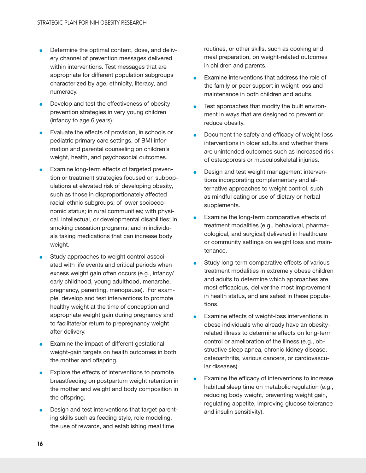- $\bullet$ Determine the optimal content, dose, and delivery channel of prevention messages delivered within interventions. Test messages that are appropriate for different population subgroups characterized by age, ethnicity, literacy, and numeracy.
- $\bullet$ Develop and test the effectiveness of obesity prevention strategies in very young children (infancy to age 6 years).
- $\bullet$ Evaluate the effects of provision, in schools or pediatric primary care settings, of BMI information and parental counseling on children's weight, health, and psychosocial outcomes.
- $\bullet$ Examine long-term effects of targeted prevention or treatment strategies focused on subpopulations at elevated risk of developing obesity, such as those in disproportionately affected racial-ethnic subgroups; of lower socioeconomic status; in rural communities; with physical, intellectual, or developmental disabilities; in smoking cessation programs; and in individuals taking medications that can increase body weight.
- $\bullet$ Study approaches to weight control associated with life events and critical periods when excess weight gain often occurs (e.g., infancy/ early childhood, young adulthood, menarche, pregnancy, parenting, menopause). For example, develop and test interventions to promote healthy weight at the time of conception and appropriate weight gain during pregnancy and to facilitate/or return to prepregnancy weight after delivery.
- $\bullet$ Examine the impact of different gestational weight-gain targets on health outcomes in both the mother and offspring.
- $\bullet$ Explore the effects of interventions to promote breastfeeding on postpartum weight retention in the mother and weight and body composition in the offspring.
- $\bullet$ Design and test interventions that target parenting skills such as feeding style, role modeling, the use of rewards, and establishing meal time

routines, or other skills, such as cooking and meal preparation, on weight-related outcomes in children and parents.

- l Examine interventions that address the role of the family or peer support in weight loss and maintenance in both children and adults.
- l Test approaches that modify the built environment in ways that are designed to prevent or reduce obesity.
- l Document the safety and efficacy of weight-loss interventions in older adults and whether there are unintended outcomes such as increased risk of osteoporosis or musculoskeletal injuries.
- $\bullet$ Design and test weight management interventions incorporating complementary and alternative approaches to weight control, such as mindful eating or use of dietary or herbal supplements.
- $\bullet$ Examine the long-term comparative effects of treatment modalities (e.g., behavioral, pharmacological, and surgical) delivered in healthcare or community settings on weight loss and maintenance.
- **l** Study long-term comparative effects of various treatment modalities in extremely obese children and adults to determine which approaches are most efficacious, deliver the most improvement in health status, and are safest in these populations.
- l Examine effects of weight-loss interventions in obese individuals who already have an obesityrelated illness to determine effects on long-term control or amelioration of the illness (e.g., obstructive sleep apnea, chronic kidney disease, osteoarthritis, various cancers, or cardiovascular diseases).
- $\bullet$ Examine the efficacy of interventions to increase habitual sleep time on metabolic regulation (e.g., reducing body weight, preventing weight gain, regulating appetite, improving glucose tolerance and insulin sensitivity).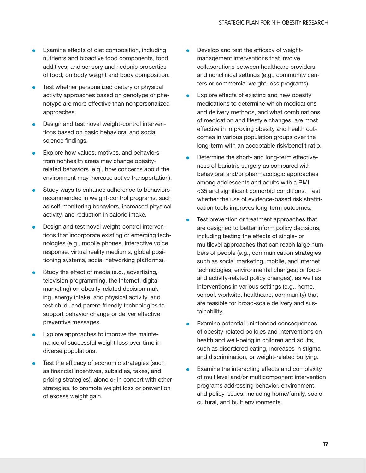- $\bullet$ Examine effects of diet composition, including nutrients and bioactive food components, food additives, and sensory and hedonic properties of food, on body weight and body composition.
- $\bullet$ Test whether personalized dietary or physical activity approaches based on genotype or phenotype are more effective than nonpersonalized approaches.
- $\bullet$ Design and test novel weight-control interventions based on basic behavioral and social science findings.
- $\bullet$ Explore how values, motives, and behaviors from nonhealth areas may change obesityrelated behaviors (e.g., how concerns about the environment may increase active transportation).
- $\bullet$ Study ways to enhance adherence to behaviors recommended in weight-control programs, such as self-monitoring behaviors, increased physical activity, and reduction in caloric intake.
- $\bullet$ Design and test novel weight-control interventions that incorporate existing or emerging technologies (e.g., mobile phones, interactive voice response, virtual reality mediums, global positioning systems, social networking platforms).
- $\bullet$ Study the effect of media (e.g., advertising, television programming, the Internet, digital marketing) on obesity-related decision making, energy intake, and physical activity, and test child- and parent-friendly technologies to support behavior change or deliver effective preventive messages.
- $\bullet$ Explore approaches to improve the maintenance of successful weight loss over time in diverse populations.
- $\bullet$ Test the efficacy of economic strategies (such as financial incentives, subsidies, taxes, and pricing strategies), alone or in concert with other strategies, to promote weight loss or prevention of excess weight gain.
- **l** Develop and test the efficacy of weightmanagement interventions that involve collaborations between healthcare providers and nonclinical settings (e.g., community centers or commercial weight-loss programs).
- $\bullet$ Explore effects of existing and new obesity medications to determine which medications and delivery methods, and what combinations of medication and lifestyle changes, are most effective in improving obesity and health outcomes in various population groups over the long-term with an acceptable risk/benefit ratio.
- $\bullet$ Determine the short- and long-term effectiveness of bariatric surgery as compared with behavioral and/or pharmacologic approaches among adolescents and adults with a BMI <35 and significant comorbid conditions. Test whether the use of evidence-based risk stratification tools improves long-term outcomes.
- $\bullet$ Test prevention or treatment approaches that are designed to better inform policy decisions, including testing the effects of single- or multilevel approaches that can reach large numbers of people (e.g., communication strategies such as social marketing, mobile, and Internet technologies; environmental changes; or foodand activity-related policy changes), as well as interventions in various settings (e.g., home, school, worksite, healthcare, community) that are feasible for broad-scale delivery and sustainability.
- $\bullet$ Examine potential unintended consequences of obesity-related policies and interventions on health and well-being in children and adults, such as disordered eating, increases in stigma and discrimination, or weight-related bullying.
- $\bullet$ Examine the interacting effects and complexity of multilevel and/or multicomponent intervention programs addressing behavior, environment, and policy issues, including home/family, sociocultural, and built environments.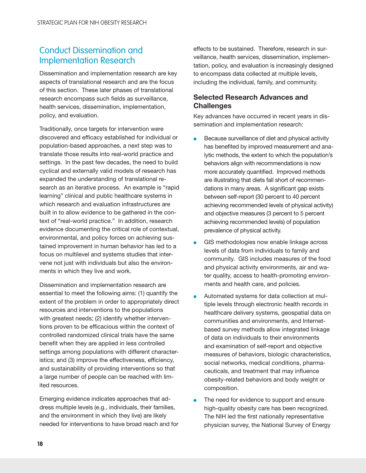### <span id="page-25-0"></span>Conduct Dissemination and Implementation Research

Dissemination and implementation research are key aspects of translational research and are the focus of this section. These later phases of translational research encompass such fields as surveillance, health services, dissemination, implementation, policy, and evaluation.

Traditionally, once targets for intervention were discovered and efficacy established for individual or population-based approaches, a next step was to translate those results into real-world practice and settings. In the past few decades, the need to build cyclical and externally valid models of research has expanded the understanding of translational research as an iterative process. An example is "rapid learning" clinical and public healthcare systems in which research and evaluation infrastructures are built in to allow evidence to be gathered in the context of "real-world practice." In addition, research evidence documenting the critical role of contextual, environmental, and policy forces on achieving sustained improvement in human behavior has led to a focus on multilevel and systems studies that intervene not just with individuals but also the environments in which they live and work.

Dissemination and implementation research are essential to meet the following aims: (1) quantify the extent of the problem in order to appropriately direct resources and interventions to the populations with greatest needs; (2) identify whether interventions proven to be efficacious within the context of controlled randomized clinical trials have the same benefit when they are applied in less controlled settings among populations with different characteristics; and (3) improve the effectiveness, efficiency, and sustainability of providing interventions so that a large number of people can be reached with limited resources.

Emerging evidence indicates approaches that address multiple levels (e.g., individuals, their families, and the environment in which they live) are likely needed for interventions to have broad reach and for

effects to be sustained. Therefore, research in surveillance, health services, dissemination, implementation, policy, and evaluation is increasingly designed to encompass data collected at multiple levels, including the individual, family, and community.

### Selected Research Advances and **Challenges**

Key advances have occurred in recent years in dissemination and implementation research:

- $\bullet$ Because surveillance of diet and physical activity has benefited by improved measurement and analytic methods, the extent to which the population's behaviors align with recommendations is now more accurately quantified. Improved methods are illustrating that diets fall short of recommendations in many areas. A significant gap exists between self-report (30 percent to 40 percent achieving recommended levels of physical activity) and objective measures (3 percent to 5 percent achieving recommended levels) of population prevalence of physical activity.
- $\bullet$ GIS methodologies now enable linkage across levels of data from individuals to family and community. GIS includes measures of the food and physical activity environments, air and water quality, access to health-promoting environments and health care, and policies.
- $\bullet$ Automated systems for data collection at multiple levels through electronic health records in healthcare delivery systems, geospatial data on communities and environments, and Internetbased survey methods allow integrated linkage of data on individuals to their environments and examination of self-report and objective measures of behaviors, biologic characteristics, social networks, medical conditions, pharmaceuticals, and treatment that may influence obesity-related behaviors and body weight or composition.
- l The need for evidence to support and ensure high-quality obesity care has been recognized. The NIH led the first nationally representative physician survey, the National Survey of Energy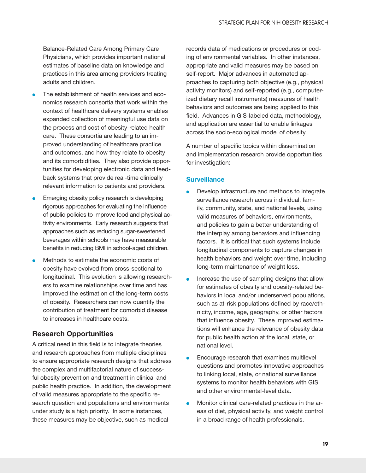<span id="page-26-0"></span>Balance-Related Care Among Primary Care Physicians, which provides important national estimates of baseline data on knowledge and practices in this area among providers treating adults and children.

- $\bullet$ The establishment of health services and economics research consortia that work within the context of healthcare delivery systems enables expanded collection of meaningful use data on the process and cost of obesity-related health care. These consortia are leading to an improved understanding of healthcare practice and outcomes, and how they relate to obesity and its comorbidities. They also provide opportunities for developing electronic data and feedback systems that provide real-time clinically relevant information to patients and providers.
- $\bullet$ Emerging obesity policy research is developing rigorous approaches for evaluating the influence of public policies to improve food and physical activity environments. Early research suggests that approaches such as reducing sugar-sweetened beverages within schools may have measurable benefits in reducing BMI in school-aged children.
- $\bullet$ Methods to estimate the economic costs of obesity have evolved from cross-sectional to longitudinal. This evolution is allowing researchers to examine relationships over time and has improved the estimation of the long-term costs of obesity. Researchers can now quantify the contribution of treatment for comorbid disease to increases in healthcare costs.

### Research Opportunities

A critical need in this field is to integrate theories and research approaches from multiple disciplines to ensure appropriate research designs that address the complex and multifactorial nature of successful obesity prevention and treatment in clinical and public health practice. In addition, the development of valid measures appropriate to the specific research question and populations and environments under study is a high priority. In some instances, these measures may be objective, such as medical

records data of medications or procedures or coding of environmental variables. In other instances, appropriate and valid measures may be based on self-report. Major advances in automated approaches to capturing both objective (e.g., physical activity monitors) and self-reported (e.g., computerized dietary recall instruments) measures of health behaviors and outcomes are being applied to this field. Advances in GIS-labeled data, methodology, and application are essential to enable linkages across the socio-ecological model of obesity.

A number of specific topics within dissemination and implementation research provide opportunities for investigation:

#### **Surveillance**

- $\bullet$ Develop infrastructure and methods to integrate surveillance research across individual, family, community, state, and national levels, using valid measures of behaviors, environments, and policies to gain a better understanding of the interplay among behaviors and influencing factors. It is critical that such systems include longitudinal components to capture changes in health behaviors and weight over time, including long-term maintenance of weight loss.
- $\bullet$ Increase the use of sampling designs that allow for estimates of obesity and obesity-related behaviors in local and/or underserved populations, such as at-risk populations defined by race/ethnicity, income, age, geography, or other factors that influence obesity. These improved estimations will enhance the relevance of obesity data for public health action at the local, state, or national level.
- $\bullet$ Encourage research that examines multilevel questions and promotes innovative approaches to linking local, state, or national surveillance systems to monitor health behaviors with GIS and other environmental-level data.
- $\bullet$ Monitor clinical care-related practices in the areas of diet, physical activity, and weight control in a broad range of health professionals.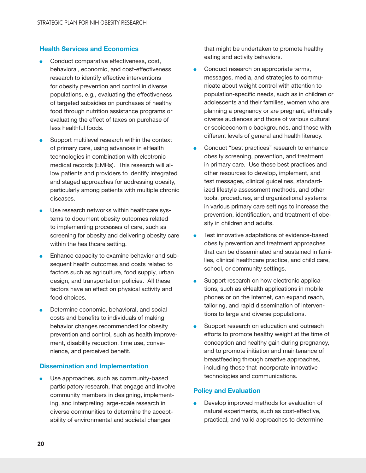### Health Services and Economics

- $\bullet$ Conduct comparative effectiveness, cost, behavioral, economic, and cost-effectiveness research to identify effective interventions for obesity prevention and control in diverse populations, e.g., evaluating the effectiveness of targeted subsidies on purchases of healthy food through nutrition assistance programs or evaluating the effect of taxes on purchase of less healthful foods.
- $\bullet$ Support multilevel research within the context of primary care, using advances in eHealth technologies in combination with electronic medical records (EMRs). This research will allow patients and providers to identify integrated and staged approaches for addressing obesity, particularly among patients with multiple chronic diseases.
- $\bullet$ Use research networks within healthcare systems to document obesity outcomes related to implementing processes of care, such as screening for obesity and delivering obesity care within the healthcare setting.
- $\bullet$ Enhance capacity to examine behavior and subsequent health outcomes and costs related to factors such as agriculture, food supply, urban design, and transportation policies. All these factors have an effect on physical activity and food choices.
- $\bullet$ Determine economic, behavioral, and social costs and benefits to individuals of making behavior changes recommended for obesity prevention and control, such as health improvement, disability reduction, time use, convenience, and perceived benefit.

#### Dissemination and Implementation

<sup>l</sup> Use approaches, such as community-based participatory research, that engage and involve community members in designing, implementing, and interpreting large-scale research in diverse communities to determine the acceptability of environmental and societal changes

that might be undertaken to promote healthy eating and activity behaviors.

- $\bullet$ Conduct research on appropriate terms, messages, media, and strategies to communicate about weight control with attention to population-specific needs, such as in children or adolescents and their families, women who are planning a pregnancy or are pregnant, ethnically diverse audiences and those of various cultural or socioeconomic backgrounds, and those with different levels of general and health literacy.
- $\bullet$ Conduct "best practices" research to enhance obesity screening, prevention, and treatment in primary care. Use these best practices and other resources to develop, implement, and test messages, clinical guidelines, standardized lifestyle assessment methods, and other tools, procedures, and organizational systems in various primary care settings to increase the prevention, identification, and treatment of obesity in children and adults.
- l Test innovative adaptations of evidence-based obesity prevention and treatment approaches that can be disseminated and sustained in families, clinical healthcare practice, and child care, school, or community settings.
- $\bullet$ Support research on how electronic applications, such as eHealth applications in mobile phones or on the Internet, can expand reach, tailoring, and rapid dissemination of interventions to large and diverse populations.
- $\bullet$ Support research on education and outreach efforts to promote healthy weight at the time of conception and healthy gain during pregnancy, and to promote initiation and maintenance of breastfeeding through creative approaches, including those that incorporate innovative technologies and communications.

#### Policy and Evaluation

Develop improved methods for evaluation of natural experiments, such as cost-effective, practical, and valid approaches to determine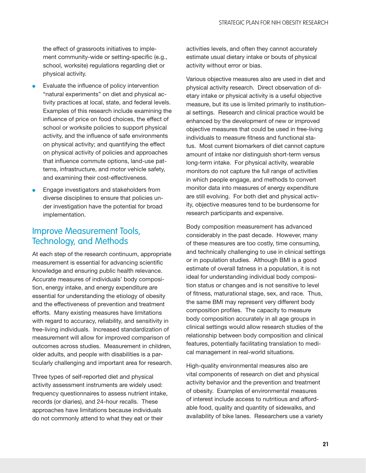<span id="page-28-0"></span>the effect of grassroots initiatives to implement community-wide or setting-specific (e.g., school, worksite) regulations regarding diet or physical activity.

- $\bullet$ Evaluate the influence of policy intervention "natural experiments" on diet and physical activity practices at local, state, and federal levels. Examples of this research include examining the influence of price on food choices, the effect of school or worksite policies to support physical activity, and the influence of safe environments on physical activity; and quantifying the effect on physical activity of policies and approaches that influence commute options, land-use patterns, infrastructure, and motor vehicle safety, and examining their cost-effectiveness.
- $\bullet$ Engage investigators and stakeholders from diverse disciplines to ensure that policies under investigation have the potential for broad implementation.

### Improve Measurement Tools, Technology, and Methods

At each step of the research continuum, appropriate measurement is essential for advancing scientific knowledge and ensuring public health relevance. Accurate measures of individuals' body composition, energy intake, and energy expenditure are essential for understanding the etiology of obesity and the effectiveness of prevention and treatment efforts. Many existing measures have limitations with regard to accuracy, reliability, and sensitivity in free-living individuals. Increased standardization of measurement will allow for improved comparison of outcomes across studies. Measurement in children, older adults, and people with disabilities is a particularly challenging and important area for research.

Three types of self-reported diet and physical activity assessment instruments are widely used: frequency questionnaires to assess nutrient intake, records (or diaries), and 24-hour recalls. These approaches have limitations because individuals do not commonly attend to what they eat or their

activities levels, and often they cannot accurately estimate usual dietary intake or bouts of physical activity without error or bias.

Various objective measures also are used in diet and physical activity research. Direct observation of dietary intake or physical activity is a useful objective measure, but its use is limited primarily to institutional settings. Research and clinical practice would be enhanced by the development of new or improved objective measures that could be used in free-living individuals to measure fitness and functional status. Most current biomarkers of diet cannot capture amount of intake nor distinguish short-term versus long-term intake. For physical activity, wearable monitors do not capture the full range of activities in which people engage, and methods to convert monitor data into measures of energy expenditure are still evolving. For both diet and physical activity, objective measures tend to be burdensome for research participants and expensive.

Body composition measurement has advanced considerably in the past decade. However, many of these measures are too costly, time consuming, and technically challenging to use in clinical settings or in population studies. Although BMI is a good estimate of overall fatness in a population, it is not ideal for understanding individual body composition status or changes and is not sensitive to level of fitness, maturational stage, sex, and race. Thus, the same BMI may represent very different body composition profiles. The capacity to measure body composition accurately in all age groups in clinical settings would allow research studies of the relationship between body composition and clinical features, potentially facilitating translation to medical management in real-world situations.

High-quality environmental measures also are vital components of research on diet and physical activity behavior and the prevention and treatment of obesity. Examples of environmental measures of interest include access to nutritious and affordable food, quality and quantity of sidewalks, and availability of bike lanes. Researchers use a variety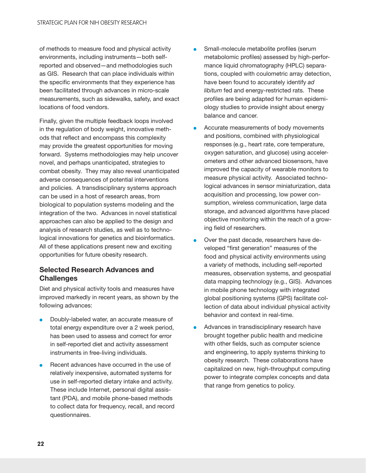<span id="page-29-0"></span>of methods to measure food and physical activity environments, including instruments—both selfreported and observed—and methodologies such as GIS. Research that can place individuals within the specific environments that they experience has been facilitated through advances in micro-scale measurements, such as sidewalks, safety, and exact locations of food vendors.

Finally, given the multiple feedback loops involved in the regulation of body weight, innovative methods that reflect and encompass this complexity may provide the greatest opportunities for moving forward. Systems methodologies may help uncover novel, and perhaps unanticipated, strategies to combat obesity. They may also reveal unanticipated adverse consequences of potential interventions and policies. A transdisciplinary systems approach can be used in a host of research areas, from biological to population systems modeling and the integration of the two. Advances in novel statistical approaches can also be applied to the design and analysis of research studies, as well as to technological innovations for genetics and bioinformatics. All of these applications present new and exciting opportunities for future obesity research.

### Selected Research Advances and **Challenges**

Diet and physical activity tools and measures have improved markedly in recent years, as shown by the following advances:

- $\bullet$ Doubly-labeled water, an accurate measure of total energy expenditure over a 2 week period, has been used to assess and correct for error in self-reported diet and activity assessment instruments in free-living individuals.
- $\bullet$ Recent advances have occurred in the use of relatively inexpensive, automated systems for use in self-reported dietary intake and activity. These include Internet, personal digital assistant (PDA), and mobile phone-based methods to collect data for frequency, recall, and record questionnaires.
- $\bullet$ Small-molecule metabolite profiles (serum metabolomic profiles) assessed by high-performance liquid chromatography (HPLC) separations, coupled with coulometric array detection, have been found to accurately identify *ad libitum* fed and energy-restricted rats. These profiles are being adapted for human epidemiology studies to provide insight about energy balance and cancer.
- $\bullet$ Accurate measurements of body movements and positions, combined with physiological responses (e.g., heart rate, core temperature, oxygen saturation, and glucose) using accelerometers and other advanced biosensors, have improved the capacity of wearable monitors to measure physical activity. Associated technological advances in sensor miniaturization, data acquisition and processing, low power consumption, wireless communication, large data storage, and advanced algorithms have placed objective monitoring within the reach of a growing field of researchers.
- $\bullet$ Over the past decade, researchers have developed "first generation" measures of the food and physical activity environments using a variety of methods, including self-reported measures, observation systems, and geospatial data mapping technology (e.g., GIS). Advances in mobile phone technology with integrated global positioning systems (GPS) facilitate collection of data about individual physical activity behavior and context in real-time.
- l Advances in transdisciplinary research have brought together public health and medicine with other fields, such as computer science and engineering, to apply systems thinking to obesity research. These collaborations have capitalized on new, high-throughput computing power to integrate complex concepts and data that range from genetics to policy.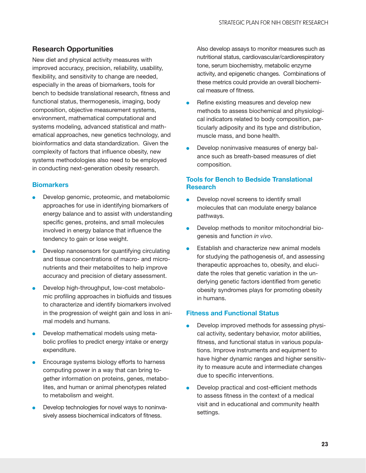### <span id="page-30-0"></span>Research Opportunities

New diet and physical activity measures with improved accuracy, precision, reliability, usability, flexibility, and sensitivity to change are needed, especially in the areas of biomarkers, tools for bench to bedside translational research, fitness and functional status, thermogenesis, imaging, body composition, objective measurement systems, environment, mathematical computational and systems modeling, advanced statistical and mathematical approaches, new genetics technology, and bioinformatics and data standardization. Given the complexity of factors that influence obesity, new systems methodologies also need to be employed in conducting next-generation obesity research.

### **Biomarkers**

- $\bullet$ Develop genomic, proteomic, and metabolomic approaches for use in identifying biomarkers of energy balance and to assist with understanding specific genes, proteins, and small molecules involved in energy balance that influence the tendency to gain or lose weight.
- $\bullet$ Develop nanosensors for quantifying circulating and tissue concentrations of macro- and micronutrients and their metabolites to help improve accuracy and precision of dietary assessment.
- $\bullet$ Develop high-throughput, low-cost metabolomic profiling approaches in biofluids and tissues to characterize and identify biomarkers involved in the progression of weight gain and loss in animal models and humans.
- $\bullet$ Develop mathematical models using metabolic profiles to predict energy intake or energy expenditure.
- $\bullet$ Encourage systems biology efforts to harness computing power in a way that can bring together information on proteins, genes, metabolites, and human or animal phenotypes related to metabolism and weight.
- $\bullet$ Develop technologies for novel ways to noninvasively assess biochemical indicators of fitness.

Also develop assays to monitor measures such as nutritional status, cardiovascular/cardiorespiratory tone, serum biochemistry, metabolic enzyme activity, and epigenetic changes. Combinations of these metrics could provide an overall biochemical measure of fitness.

- $\bullet$ Refine existing measures and develop new methods to assess biochemical and physiological indicators related to body composition, particularly adiposity and its type and distribution, muscle mass, and bone health.
- $\bullet$ Develop noninvasive measures of energy balance such as breath-based measures of diet composition.

### Tools for Bench to Bedside Translational Research

- **l** Develop novel screens to identify small molecules that can modulate energy balance pathways.
- $\bullet$ Develop methods to monitor mitochondrial biogenesis and function *in vivo*.
- $\bullet$ Establish and characterize new animal models for studying the pathogenesis of, and assessing therapeutic approaches to, obesity, and elucidate the roles that genetic variation in the underlying genetic factors identified from genetic obesity syndromes plays for promoting obesity in humans.

### Fitness and Functional Status

- $\bullet$ Develop improved methods for assessing physical activity, sedentary behavior, motor abilities, fitness, and functional status in various populations. Improve instruments and equipment to have higher dynamic ranges and higher sensitivity to measure acute and intermediate changes due to specific interventions.
- $\bullet$ Develop practical and cost-efficient methods to assess fitness in the context of a medical visit and in educational and community health settings.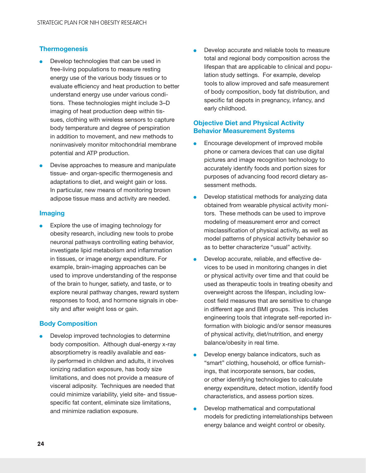#### **Thermogenesis**

- $\bullet$ Develop technologies that can be used in free-living populations to measure resting energy use of the various body tissues or to evaluate efficiency and heat production to better understand energy use under various conditions. These technologies might include 3–D imaging of heat production deep within tissues, clothing with wireless sensors to capture body temperature and degree of perspiration in addition to movement, and new methods to noninvasively monitor mitochondrial membrane potential and ATP production.
- $\bullet$ Devise approaches to measure and manipulate tissue- and organ-specific thermogenesis and adaptations to diet, and weight gain or loss. In particular, new means of monitoring brown adipose tissue mass and activity are needed.

#### Imaging

Explore the use of imaging technology for obesity research, including new tools to probe neuronal pathways controlling eating behavior, investigate lipid metabolism and inflammation in tissues, or image energy expenditure. For example, brain-imaging approaches can be used to improve understanding of the response of the brain to hunger, satiety, and taste, or to explore neural pathway changes, reward system responses to food, and hormone signals in obesity and after weight loss or gain.

#### Body Composition

Develop improved technologies to determine body composition. Although dual-energy x-ray absorptiometry is readily available and easily performed in children and adults, it involves ionizing radiation exposure, has body size limitations, and does not provide a measure of visceral adiposity. Techniques are needed that could minimize variability, yield site- and tissuespecific fat content, eliminate size limitations, and minimize radiation exposure.

**.** Develop accurate and reliable tools to measure total and regional body composition across the lifespan that are applicable to clinical and population study settings. For example, develop tools to allow improved and safe measurement of body composition, body fat distribution, and specific fat depots in pregnancy, infancy, and early childhood.

#### Objective Diet and Physical Activity Behavior Measurement Systems

- $\bullet$ Encourage development of improved mobile phone or camera devices that can use digital pictures and image recognition technology to accurately identify foods and portion sizes for purposes of advancing food record dietary assessment methods.
- $\bullet$ Develop statistical methods for analyzing data obtained from wearable physical activity monitors. These methods can be used to improve modeling of measurement error and correct misclassification of physical activity, as well as model patterns of physical activity behavior so as to better characterize "usual" activity.
- $\bullet$ Develop accurate, reliable, and effective devices to be used in monitoring changes in diet or physical activity over time and that could be used as therapeutic tools in treating obesity and overweight across the lifespan, including lowcost field measures that are sensitive to change in different age and BMI groups. This includes engineering tools that integrate self-reported information with biologic and/or sensor measures of physical activity, diet/nutrition, and energy balance/obesity in real time.
- $\bullet$ Develop energy balance indicators, such as "smart" clothing, household, or office furnishings, that incorporate sensors, bar codes, or other identifying technologies to calculate energy expenditure, detect motion, identify food characteristics, and assess portion sizes.
- $\bullet$ Develop mathematical and computational models for predicting interrelationships between energy balance and weight control or obesity.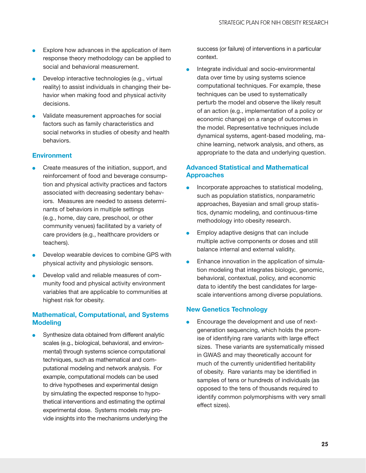- $\bullet$ Explore how advances in the application of item response theory methodology can be applied to social and behavioral measurement.
- $\bullet$ Develop interactive technologies (e.g., virtual reality) to assist individuals in changing their behavior when making food and physical activity decisions.
- $\bullet$ Validate measurement approaches for social factors such as family characteristics and social networks in studies of obesity and health behaviors.

### **Environment**

- Create measures of the initiation, support, and reinforcement of food and beverage consumption and physical activity practices and factors associated with decreasing sedentary behaviors. Measures are needed to assess determinants of behaviors in multiple settings (e.g., home, day care, preschool, or other community venues) facilitated by a variety of care providers (e.g., healthcare providers or teachers).
- $\bullet$ Develop wearable devices to combine GPS with physical activity and physiologic sensors.
- $\bullet$ Develop valid and reliable measures of community food and physical activity environment variables that are applicable to communities at highest risk for obesity.

### Mathematical, Computational, and Systems **Modeling**

Synthesize data obtained from different analytic scales (e.g., biological, behavioral, and environmental) through systems science computational techniques, such as mathematical and computational modeling and network analysis. For example, computational models can be used to drive hypotheses and experimental design by simulating the expected response to hypothetical interventions and estimating the optimal experimental dose. Systems models may provide insights into the mechanisms underlying the success (or failure) of interventions in a particular context.

Integrate individual and socio-environmental data over time by using systems science computational techniques. For example, these techniques can be used to systematically perturb the model and observe the likely result of an action (e.g., implementation of a policy or economic change) on a range of outcomes in the model. Representative techniques include dynamical systems, agent-based modeling, machine learning, network analysis, and others, as appropriate to the data and underlying question.

### Advanced Statistical and Mathematical Approaches

- $\bullet$ Incorporate approaches to statistical modeling, such as population statistics, nonparametric approaches, Bayesian and small group statistics, dynamic modeling, and continuous-time methodology into obesity research.
- $\bullet$ Employ adaptive designs that can include multiple active components or doses and still balance internal and external validity.
- **l** Enhance innovation in the application of simulation modeling that integrates biologic, genomic, behavioral, contextual, policy, and economic data to identify the best candidates for largescale interventions among diverse populations.

#### New Genetics Technology

<sup>l</sup> Encourage the development and use of nextgeneration sequencing, which holds the promise of identifying rare variants with large effect sizes. These variants are systematically missed in GWAS and may theoretically account for much of the currently unidentified heritability of obesity. Rare variants may be identified in samples of tens or hundreds of individuals (as opposed to the tens of thousands required to identify common polymorphisms with very small effect sizes).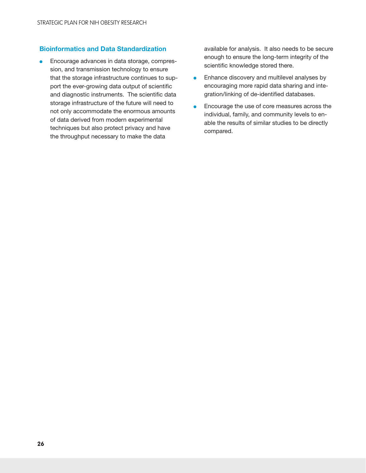#### Bioinformatics and Data Standardization

**Encourage advances in data storage, compres**sion, and transmission technology to ensure that the storage infrastructure continues to support the ever-growing data output of scientific and diagnostic instruments. The scientific data storage infrastructure of the future will need to not only accommodate the enormous amounts of data derived from modern experimental techniques but also protect privacy and have the throughput necessary to make the data

available for analysis. It also needs to be secure enough to ensure the long-term integrity of the scientific knowledge stored there.

- $\bullet$ Enhance discovery and multilevel analyses by encouraging more rapid data sharing and integration/linking of de-identified databases.
- $\bullet$ Encourage the use of core measures across the individual, family, and community levels to enable the results of similar studies to be directly compared.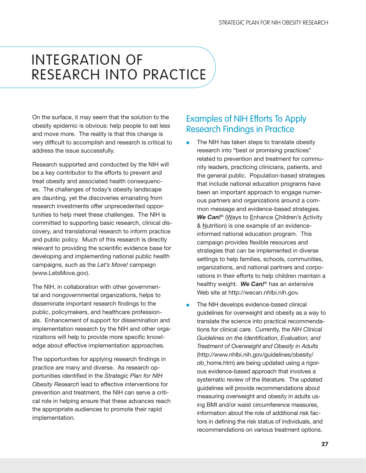## <span id="page-34-0"></span>INTEGRATION OF RESEARCH INTO PRACTICE

On the surface, it may seem that the solution to the obesity epidemic is obvious: help people to eat less and move more. The reality is that this change is very difficult to accomplish and research is critical to address the issue successfully.

Research supported and conducted by the NIH will be a key contributor to the efforts to prevent and treat obesity and associated health consequences. The challenges of today's obesity landscape are daunting, yet the discoveries emanating from research investments offer unprecedented opportunities to help meet these challenges. The NIH is committed to supporting basic research, clinical discovery, and translational research to inform practice and public policy. Much of this research is directly relevant to providing the scientific evidence base for developing and implementing national public health campaigns, such as the *Let's Move!* campaign [\(www.LetsMove.gov\)](http://www.LetsMove.gov).

The NIH, in collaboration with other governmental and nongovernmental organizations, helps to disseminate important research findings to the public, policymakers, and healthcare professionals. Enhancement of support for dissemination and implementation research by the NIH and other organizations will help to provide more specific knowledge about effective implementation approaches.

The opportunities for applying research findings in practice are many and diverse. As research opportunities identified in the *Strategic Plan for NIH Obesity Research* lead to effective interventions for prevention and treatment, the NIH can serve a critical role in helping ensure that these advances reach the appropriate audiences to promote their rapid implementation.

## Examples of NIH Efforts To Apply Research Findings in Practice

- $\bullet$  The NIH has taken steps to translate obesity research into "best or promising practices" related to prevention and treatment for community leaders, practicing clinicians, patients, and the general public. Population-based strategies that include national education programs have been an important approach to engage numerous partners and organizations around a common message and evidence-based strategies. **We Can!**<sup>®</sup> (Ways to Enhance Children's Activity & Nutrition) is one example of an evidenceinformed national education program. This campaign provides flexible resources and strategies that can be implemented in diverse settings to help families, schools, communities, organizations, and national partners and corporations in their efforts to help children maintain a healthy weight. *We Can!*® has an extensive Web site at [http://wecan.nhlbi.nih.gov.](http://wecan.nhlbi.nih.gov)
- The NIH develops evidence-based clinical guidelines for overweight and obesity as a way to translate the science into practical recommendations for clinical care. Currently, the *NIH Clinical Guidelines on the Identification, Evaluation, and Treatment of Overweight and Obesity in Adults* [\(http://www.nhlbi.nih.gov/guidelines/obesity/](http://www.nhlbi.nih.gov/guidelines/obesity/ob_home.htm) [ob\\_home.htm](http://www.nhlbi.nih.gov/guidelines/obesity/ob_home.htm)) are being updated using a rigorous evidence-based approach that involves a systematic review of the literature. The updated guidelines will provide recommendations about measuring overweight and obesity in adults using BMI and/or waist circumference measures, information about the role of additional risk factors in defining the risk status of individuals, and recommendations on various treatment options.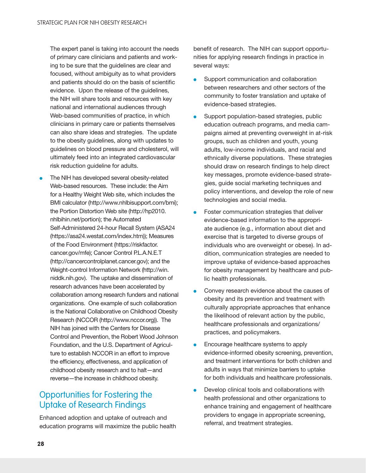<span id="page-35-0"></span>The expert panel is taking into account the needs of primary care clinicians and patients and working to be sure that the guidelines are clear and focused, without ambiguity as to what providers and patients should do on the basis of scientific evidence. Upon the release of the guidelines, the NIH will share tools and resources with key national and international audiences through Web-based communities of practice, in which clinicians in primary care or patients themselves can also share ideas and strategies. The update to the obesity guidelines, along with updates to guidelines on blood pressure and cholesterol, will ultimately feed into an integrated cardiovascular risk reduction guideline for adults.

The NIH has developed several obesity-related Web-based resources. These include: the Aim for a Healthy Weight Web site, which includes the BMI calculator [\(http://www.nhlbisupport.com/bmi\)](http://www.nhlbisupport.com/bmi); the Portion Distortion Web site [\(http://hp2010.](http://hp2010.nhlbihin.net/portion) [nhlbihin.net/portion\)](http://hp2010.nhlbihin.net/portion); the Automated Self-Administered 24-hour Recall System (ASA24 [\(https://asa24.westat.com/index.htm\)](https://asa24.westat.com/index.htm)); Measures of the Food Environment ([https://riskfactor.](https://riskfactor.cancer.gov/mfe)  [cancer.gov/mfe\)](https://riskfactor.cancer.gov/mfe); Cancer Control P.L.A.N.E.T [\(http://cancercontrolplanet.cancer.gov\)](http://cancercontrolplanet.cancer.gov); and the Weight-control Information Network [\(http://win.](http://win.niddk.nih.gov) [niddk.nih.gov\)](http://win.niddk.nih.gov). The uptake and dissemination of research advances have been accelerated by collaboration among research funders and national organizations. One example of such collaboration is the National Collaborative on Childhood Obesity Research (NCCOR [\(http://www.nccor.org](http://www.nccor.org))). The NIH has joined with the Centers for Disease Control and Prevention, the Robert Wood Johnson Foundation, and the U.S. Department of Agriculture to establish NCCOR in an effort to improve the efficiency, effectiveness, and application of childhood obesity research and to halt—and reverse—the increase in childhood obesity.

## Opportunities for Fostering the Uptake of Research Findings

Enhanced adoption and uptake of outreach and education programs will maximize the public health

benefit of research. The NIH can support opportunities for applying research findings in practice in several ways:

- $\bullet$ Support communication and collaboration between researchers and other sectors of the community to foster translation and uptake of evidence-based strategies.
- $\bullet$ Support population-based strategies, public education outreach programs, and media campaigns aimed at preventing overweight in at-risk groups, such as children and youth, young adults, low-income individuals, and racial and ethnically diverse populations. These strategies should draw on research findings to help direct key messages, promote evidence-based strategies, guide social marketing techniques and policy interventions, and develop the role of new technologies and social media.
- $\bullet$ Foster communication strategies that deliver evidence-based information to the appropriate audience (e.g., information about diet and exercise that is targeted to diverse groups of individuals who are overweight or obese). In addition, communication strategies are needed to improve uptake of evidence-based approaches for obesity management by healthcare and public health professionals.
- $\bullet$ Convey research evidence about the causes of obesity and its prevention and treatment with culturally appropriate approaches that enhance the likelihood of relevant action by the public, healthcare professionals and organizations/ practices, and policymakers.
- $\bullet$ Encourage healthcare systems to apply evidence-informed obesity screening, prevention, and treatment interventions for both children and adults in ways that minimize barriers to uptake for both individuals and healthcare professionals.
- l Develop clinical tools and collaborations with health professional and other organizations to enhance training and engagement of healthcare providers to engage in appropriate screening, referral, and treatment strategies.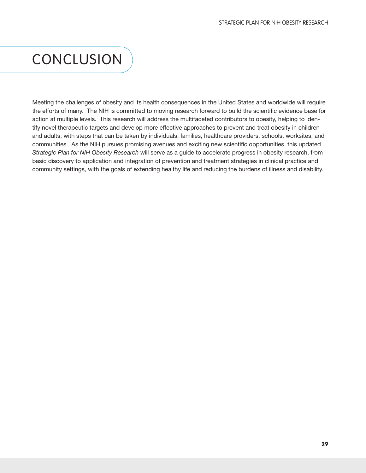## <span id="page-36-0"></span>CONCLUSION

Meeting the challenges of obesity and its health consequences in the United States and worldwide will require the efforts of many. The NIH is committed to moving research forward to build the scientific evidence base for action at multiple levels. This research will address the multifaceted contributors to obesity, helping to identify novel therapeutic targets and develop more effective approaches to prevent and treat obesity in children and adults, with steps that can be taken by individuals, families, healthcare providers, schools, worksites, and communities. As the NIH pursues promising avenues and exciting new scientific opportunities, this updated *Strategic Plan for NIH Obesity Research* will serve as a guide to accelerate progress in obesity research, from basic discovery to application and integration of prevention and treatment strategies in clinical practice and community settings, with the goals of extending healthy life and reducing the burdens of illness and disability.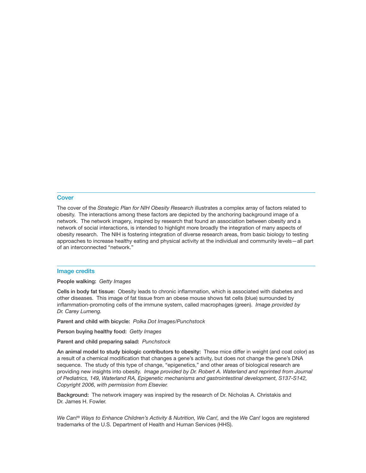#### **Cover**

The cover of the *Strategic Plan for NIH Obesity Research* illustrates a complex array of factors related to obesity. The interactions among these factors are depicted by the anchoring background image of a network. The network imagery, inspired by research that found an association between obesity and a network of social interactions, is intended to highlight more broadly the integration of many aspects of obesity research. The NIH is fostering integration of diverse research areas, from basic biology to testing approaches to increase healthy eating and physical activity at the individual and community levels—all part of an interconnected "network."

#### Image credits

People walking: *Getty Images*

Cells in body fat tissue: Obesity leads to chronic inflammation, which is associated with diabetes and other diseases. This image of fat tissue from an obese mouse shows fat cells (blue) surrounded by inflammation-promoting cells of the immune system, called macrophages (green). *Image provided by Dr. Carey Lumeng.*

Parent and child with bicycle: *Polka Dot Images/Punchstock*

Person buying healthy food: *Getty Images*

Parent and child preparing salad: *Punchstock*

An animal model to study biologic contributors to obesity: These mice differ in weight (and coat color) as a result of a chemical modification that changes a gene's activity, but does not change the gene's DNA sequence. The study of this type of change, "epigenetics," and other areas of biological research are providing new insights into obesity. *Image provided by Dr. Robert A. Waterland and reprinted from Journal of Pediatrics, 149, Waterland RA, Epigenetic mechanisms and gastrointestinal development, S137-S142, Copyright 2006, with permission from Elsevier.*

Background: The network imagery was inspired by the research of Dr. Nicholas A. Christakis and Dr. James H. Fowler.

*We Can!*® *Ways to Enhance Children's Activity & Nutrition, We Can!,* and the *We Can!* logos are registered trademarks of the U.S. Department of Health and Human Services (HHS).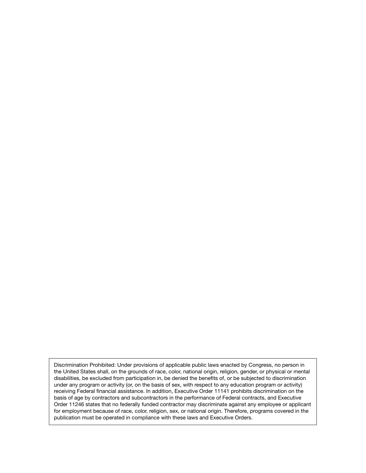Discrimination Prohibited: Under provisions of applicable public laws enacted by Congress, no person in the United States shall, on the grounds of race, color, national origin, religion, gender, or physical or mental disabilities, be excluded from participation in, be denied the benefits of, or be subjected to discrimination under any program or activity (or, on the basis of sex, with respect to any education program or activity) receiving Federal financial assistance. In addition, Executive Order 11141 prohibits discrimination on the basis of age by contractors and subcontractors in the performance of Federal contracts, and Executive Order 11246 states that no federally funded contractor may discriminate against any employee or applicant for employment because of race, color, religion, sex, or national origin. Therefore, programs covered in the publication must be operated in compliance with these laws and Executive Orders.